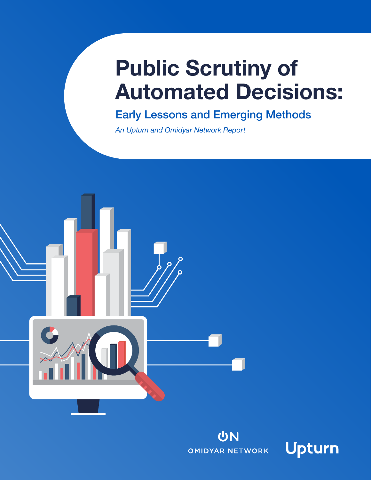# Public Scrutiny of Automated Decisions:

Early Lessons and Emerging Methods

*An Upturn and Omidyar Network Report*





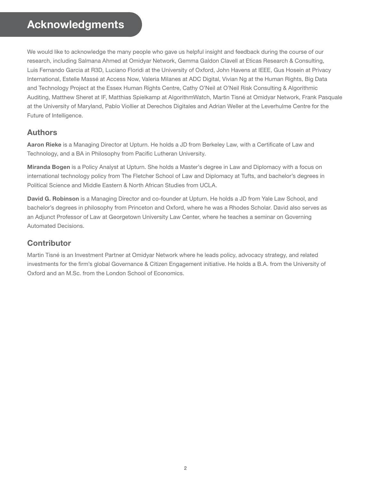# **Acknowledgments**

We would like to acknowledge the many people who gave us helpful insight and feedback during the course of our research, including Salmana Ahmed at Omidyar Network, Gemma Galdon Clavell at Eticas Research & Consulting, Luis Fernando Garcia at R3D, Luciano Floridi at the University of Oxford, John Havens at IEEE, Gus Hosein at Privacy International, Estelle Massé at Access Now, Valeria Milanes at ADC Digital, Vivian Ng at the Human Rights, Big Data and Technology Project at the Essex Human Rights Centre, Cathy O'Neil at O'Neil Risk Consulting & Algorithmic Auditing, Matthew Sheret at IF, Matthias Spielkamp at AlgorithmWatch, Martin Tisné at Omidyar Network, Frank Pasquale at the University of Maryland, Pablo Viollier at Derechos Digitales and Adrian Weller at the Leverhulme Centre for the Future of Intelligence.

# Authors

Aaron Rieke is a Managing Director at Upturn. He holds a JD from Berkeley Law, with a Certificate of Law and Technology, and a BA in Philosophy from Pacific Lutheran University.

Miranda Bogen is a Policy Analyst at Upturn. She holds a Master's degree in Law and Diplomacy with a focus on international technology policy from The Fletcher School of Law and Diplomacy at Tufts, and bachelor's degrees in Political Science and Middle Eastern & North African Studies from UCLA.

David G. Robinson is a Managing Director and co-founder at Upturn. He holds a JD from Yale Law School, and bachelor's degrees in philosophy from Princeton and Oxford, where he was a Rhodes Scholar. David also serves as an Adjunct Professor of Law at Georgetown University Law Center, where he teaches a seminar on Governing Automated Decisions.

# **Contributor**

Martin Tisné is an Investment Partner at Omidyar Network where he leads policy, advocacy strategy, and related investments for the firm's global Governance & Citizen Engagement initiative. He holds a B.A. from the University of Oxford and an M.Sc. from the London School of Economics.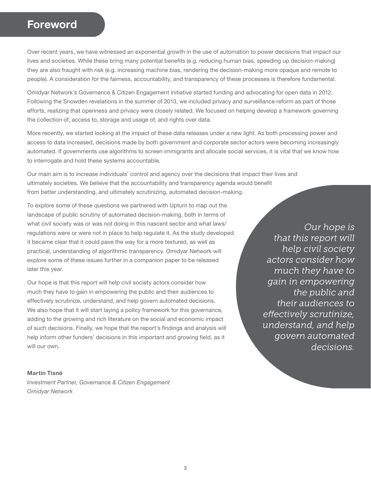# **Foreword**

Over recent years, we have witnessed an exponential growth in the use of automation to power decisions that impact our lives and societies. While these bring many potential benefits (e.g. reducing human bias, speeding up decision-making) they are also fraught with risk (e.g. increasing machine bias, rendering the decision-making more opaque and remote to people). A consideration for the fairness, accountability, and transparency of these processes is therefore fundamental.

Omidyar Network's Governance & Citizen Engagement initiative started funding and advocating for open data in 2012. Following the Snowden revelations in the summer of 2013, we included privacy and surveillance reform as part of those efforts, realizing that openness and privacy were closely related. We focused on helping develop a framework governing the collection of, access to, storage and usage of, and rights over data.

More recently, we started looking at the impact of these data releases under a new light. As both processing power and access to data increased, decisions made by both government and corporate sector actors were becoming increasingly automated. If governments use algorithms to screen immigrants and allocate social services, it is vital that we know how to interrogate and hold these systems accountable.

Our main aim is to increase individuals' control and agency over the decisions that impact their lives and ultimately societies. We believe that the accountability and transparency agenda would benefit from better understanding, and ultimately scrutinizing, automated decision-making.

To explore some of these questions we partnered with Upturn to map out the landscape of public scrutiny of automated decision-making, both in terms of what civil society was or was not doing in this nascent sector and what laws/ regulations were or were not in place to help regulate it. As the study developed it became clear that it could pave the way for a more textured, as well as practical, understanding of algorithmic transparency. Omidyar Network will explore some of these issues further in a companion paper to be released later this year.

Our hope is that this report will help civil society actors consider how much they have to gain in empowering the public and their audiences to effectively scrutinize, understand, and help govern automated decisions. We also hope that it will start laying a policy framework for this governance, adding to the growing and rich literature on the social and economic impact of such decisions. Finally, we hope that the report's findings and analysis will help inform other funders' decisions in this important and growing field, as it will our own.

*Our hope is that this report will help civil society actors consider how much they have to gain in empowering the public and their audiences to effectively scrutinize, understand, and help govern automated decisions.*

#### Martin Tisné

*Investment Partner, Governance & Citizen Engagement Omidyar Network*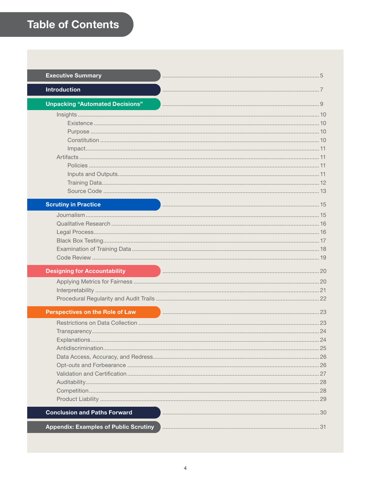| <b>Executive Summary</b>                     |    |
|----------------------------------------------|----|
| <b>Introduction</b>                          |    |
| <b>Unpacking "Automated Decisions"</b>       |    |
|                                              |    |
| <b>Scrutiny in Practice</b>                  |    |
|                                              |    |
| <b>Designing for Accountability</b>          |    |
|                                              |    |
| <b>Perspectives on the Role of Law</b>       |    |
|                                              | 24 |
|                                              |    |
| <b>Conclusion and Paths Forward</b>          |    |
|                                              |    |
| <b>Appendix: Examples of Public Scrutiny</b> |    |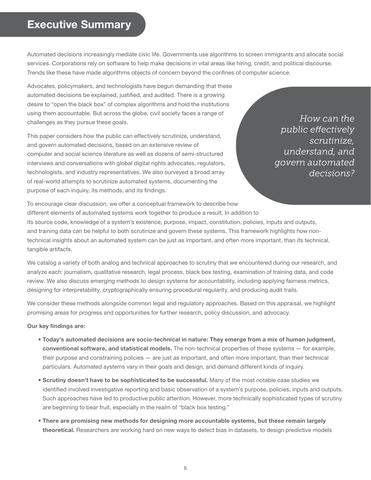# <span id="page-4-0"></span>**Executive Summary**

Automated decisions increasingly mediate civic life. Governments use algorithms to screen immigrants and allocate social services. Corporations rely on software to help make decisions in vital areas like hiring, credit, and political discourse. Trends like these have made algorithms objects of concern beyond the confines of computer science.

Advocates, policymakers, and technologists have begun demanding that these automated decisions be explained, justified, and audited. There is a growing desire to "open the black box" of complex algorithms and hold the institutions using them accountable. But across the globe, civil society faces a range of challenges as they pursue these goals.

This paper considers how the public can effectively scrutinize, understand, and govern automated decisions, based on an extensive review of computer and social science literature as well as dozens of semi-structured interviews and conversations with global digital rights advocates, regulators, technologists, and industry representatives. We also surveyed a broad array of real-world attempts to scrutinize automated systems, documenting the purpose of each inquiry, its methods, and its findings.

*How can the public effectively scrutinize, understand, and govern automated decisions?*

To encourage clear discussion, we offer a conceptual framework to describe how different elements of automated systems work together to produce a result. In addition to its source code, knowledge of a system's existence, purpose, impact, constitution, policies, inputs and outputs, and training data can be helpful to both scrutinize and govern these systems. This framework highlights how nontechnical insights about an automated system can be just as important, and often more important, than its technical, tangible artifacts.

We catalog a variety of both analog and technical approaches to scrutiny that we encountered during our research, and analyze each: journalism, qualitative research, legal process, black box testing, examination of training data, and code review. We also discuss emerging methods to design systems for accountability, including applying fairness metrics, designing for interpretability, cryptographically ensuring procedural regularity, and producing audit trails.

We consider these methods alongside common legal and regulatory approaches. Based on this appraisal, we highlight promising areas for progress and opportunities for further research, policy discussion, and advocacy.

#### Our key findings are:

- Today's automated decisions are socio-technical in nature: They emerge from a mix of human judgment, conventional software, and statistical models. The non-technical properties of these systems — for example, their purpose and constraining policies — are just as important, and often more important, than their technical particulars. Automated systems vary in their goals and design, and demand different kinds of inquiry.
- Scrutiny doesn't have to be sophisticated to be successful. Many of the most notable case studies we identified involved investigative reporting and basic observation of a system's purpose, policies, inputs and outputs. Such approaches have led to productive public attention. However, more technically sophisticated types of scrutiny are beginning to bear fruit, especially in the realm of "black box testing."
- There are promising new methods for designing more accountable systems, but these remain largely theoretical. Researchers are working hard on new ways to detect bias in datasets, to design predictive models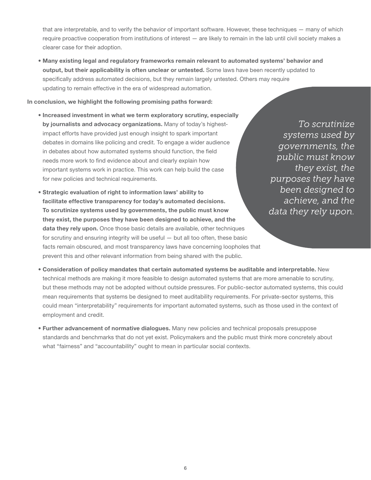that are interpretable, and to verify the behavior of important software. However, these techniques — many of which require proactive cooperation from institutions of interest — are likely to remain in the lab until civil society makes a clearer case for their adoption.

• Many existing legal and regulatory frameworks remain relevant to automated systems' behavior and output, but their applicability is often unclear or untested. Some laws have been recently updated to specifically address automated decisions, but they remain largely untested. Others may require updating to remain effective in the era of widespread automation.

#### In conclusion, we highlight the following promising paths forward:

- Increased investment in what we term exploratory scrutiny, especially by journalists and advocacy organizations. Many of today's highestimpact efforts have provided just enough insight to spark important debates in domains like policing and credit. To engage a wider audience in debates about how automated systems should function, the field needs more work to find evidence about and clearly explain how important systems work in practice. This work can help build the case for new policies and technical requirements.
- Strategic evaluation of right to information laws' ability to facilitate effective transparency for today's automated decisions. To scrutinize systems used by governments, the public must know they exist, the purposes they have been designed to achieve, and the data they rely upon. Once those basic details are available, other techniques for scrutiny and ensuring integrity will be useful — but all too often, these basic facts remain obscured, and most transparency laws have concerning loopholes that prevent this and other relevant information from being shared with the public.

 *To scrutinize systems used by governments, the public must know they exist, the purposes they have been designed to achieve, and the data they rely upon.*

- Consideration of policy mandates that certain automated systems be auditable and interpretable. New technical methods are making it more feasible to design automated systems that are more amenable to scrutiny, but these methods may not be adopted without outside pressures. For public-sector automated systems, this could mean requirements that systems be designed to meet auditability requirements. For private-sector systems, this could mean "interpretability" requirements for important automated systems, such as those used in the context of employment and credit.
- Further advancement of normative dialogues. Many new policies and technical proposals presuppose standards and benchmarks that do not yet exist. Policymakers and the public must think more concretely about what "fairness" and "accountability" ought to mean in particular social contexts.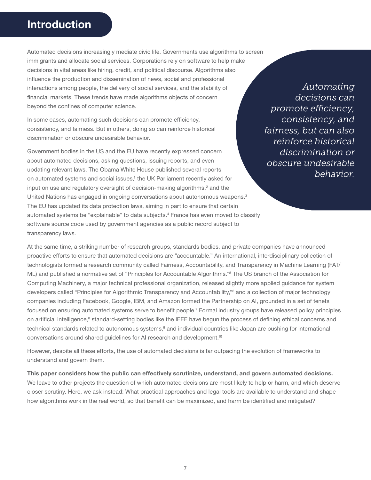# <span id="page-6-0"></span>**Introduction**

Automated decisions increasingly mediate civic life. Governments use algorithms to screen immigrants and allocate social services. Corporations rely on software to help make decisions in vital areas like hiring, credit, and political discourse. Algorithms also influence the production and dissemination of news, social and professional interactions among people, the delivery of social services, and the stability of financial markets. These trends have made algorithms objects of concern beyond the confines of computer science.

In some cases, automating such decisions can promote efficiency, consistency, and fairness. But in others, doing so can reinforce historical discrimination or obscure undesirable behavior.

Government bodies in the US and the EU have recently expressed concern about automated decisions, asking questions, issuing reports, and even updating relevant laws. The Obama White House published several reports on automated systems and social issues,<sup>1</sup> the UK Parliament recently asked for input on use and regulatory oversight of decision-making algorithms, $2$  and the United Nations has engaged in ongoing conversations about autonomous weapons.<sup>3</sup> The EU has updated its data protection laws, aiming in part to ensure that certain automated systems be "explainable" to data subjects.4 France has even moved to classify software source code used by government agencies as a public record subject to transparency laws.

*Automating decisions can promote efficiency, consistency, and fairness, but can also reinforce historical discrimination or obscure undesirable behavior.*

At the same time, a striking number of research groups, standards bodies, and private companies have announced proactive efforts to ensure that automated decisions are "accountable." An international, interdisciplinary collection of technologists formed a research community called Fairness, Accountability, and Transparency in Machine Learning (FAT/ ML) and published a normative set of "Principles for Accountable Algorithms."<sup>5</sup> The US branch of the Association for Computing Machinery, a major technical professional organization, released slightly more applied guidance for system developers called "Principles for Algorithmic Transparency and Accountability,"6 and a collection of major technology companies including Facebook, Google, IBM, and Amazon formed the Partnership on AI, grounded in a set of tenets focused on ensuring automated systems serve to benefit people.<sup>7</sup> Formal industry groups have released policy principles on artificial intelligence,<sup>8</sup> standard-setting bodies like the IEEE have begun the process of defining ethical concerns and technical standards related to autonomous systems,<sup>9</sup> and individual countries like Japan are pushing for international conversations around shared guidelines for AI research and development.10

However, despite all these efforts, the use of automated decisions is far outpacing the evolution of frameworks to understand and govern them.

This paper considers how the public can effectively scrutinize, understand, and govern automated decisions. We leave to other projects the question of which automated decisions are most likely to help or harm, and which deserve closer scrutiny. Here, we ask instead: What practical approaches and legal tools are available to understand and shape how algorithms work in the real world, so that benefit can be maximized, and harm be identified and mitigated?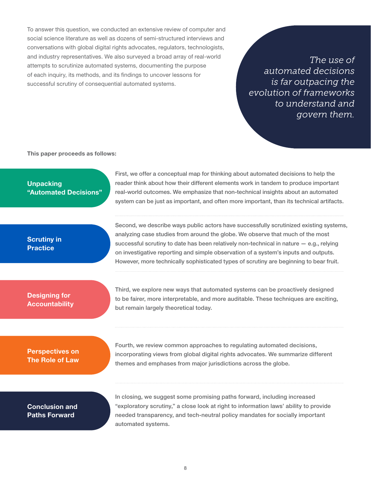To answer this question, we conducted an extensive review of computer and social science literature as well as dozens of semi-structured interviews and conversations with global digital rights advocates, regulators, technologists, and industry representatives. We also surveyed a broad array of real-world attempts to scrutinize automated systems, documenting the purpose of each inquiry, its methods, and its findings to uncover lessons for successful scrutiny of consequential automated systems.

*The use of automated decisions is far outpacing the evolution of frameworks to understand and govern them.*

This paper proceeds as follows:

### **Unpacking** "Automated Decisions"

First, we offer a conceptual map for thinking about automated decisions to help the reader think about how their different elements work in tandem to produce important real-world outcomes. We emphasize that non-technical insights about an automated system can be just as important, and often more important, than its technical artifacts.

### Scrutiny in **Practice**

Second, we describe ways public actors have successfully scrutinized existing systems, analyzing case studies from around the globe. We observe that much of the most successful scrutiny to date has been relatively non-technical in nature  $-$  e.g., relying on investigative reporting and simple observation of a system's inputs and outputs. However, more technically sophisticated types of scrutiny are beginning to bear fruit.

### Designing for **Accountability**

Third, we explore new ways that automated systems can be proactively designed to be fairer, more interpretable, and more auditable. These techniques are exciting, but remain largely theoretical today.

# Perspectives on The Role of Law

Fourth, we review common approaches to regulating automated decisions, incorporating views from global digital rights advocates. We summarize different themes and emphases from major jurisdictions across the globe.

### Conclusion and Paths Forward

In closing, we suggest some promising paths forward, including increased "exploratory scrutiny," a close look at right to information laws' ability to provide needed transparency, and tech-neutral policy mandates for socially important automated systems.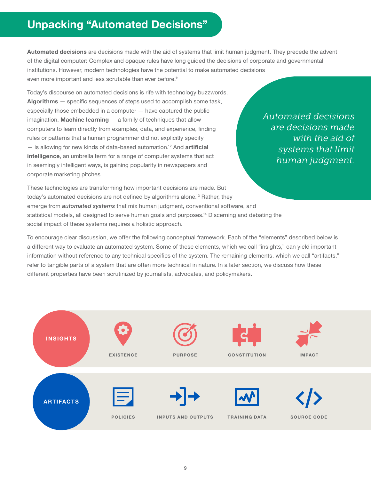# <span id="page-8-0"></span>**Unpacking "Automated Decisions"**

Automated decisions are decisions made with the aid of systems that limit human judgment. They precede the advent of the digital computer: Complex and opaque rules have long guided the decisions of corporate and governmental institutions. However, modern technologies have the potential to make automated decisions even more important and less scrutable than ever before.<sup>11</sup>

Today's discourse on automated decisions is rife with technology buzzwords. Algorithms – specific sequences of steps used to accomplish some task, especially those embedded in a computer — have captured the public  $imagination. **Machine learning**  $-\alpha$  family of techniques that allow$ computers to learn directly from examples, data, and experience, finding rules or patterns that a human programmer did not explicitly specify - is allowing for new kinds of data-based automation.<sup>12</sup> And artificial intelligence, an umbrella term for a range of computer systems that act in seemingly intelligent ways, is gaining popularity in newspapers and corporate marketing pitches.

*Automated decisions are decisions made with the aid of systems that limit human judgment.*

These technologies are transforming how important decisions are made. But today's automated decisions are not defined by algorithms alone.<sup>13</sup> Rather, they emerge from *automated systems* that mix human judgment, conventional software, and statistical models, all designed to serve human goals and purposes.<sup>14</sup> Discerning and debating the social impact of these systems requires a holistic approach.

To encourage clear discussion, we offer the following conceptual framework. Each of the "elements" described below is a different way to evaluate an automated system. Some of these elements, which we call "insights," can yield important information without reference to any technical specifics of the system. The remaining elements, which we call "artifacts," refer to tangible parts of a system that are often more technical in nature. In a later section, we discuss how these different properties have been scrutinized by journalists, advocates, and policymakers.

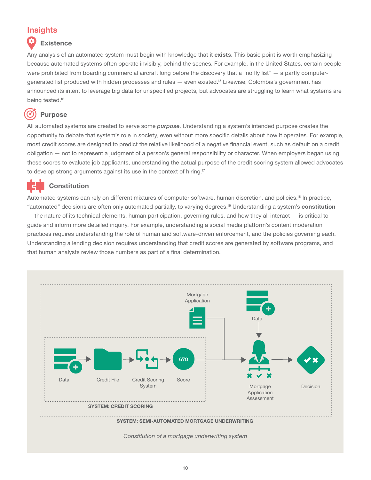# <span id="page-9-0"></span>**Insights**

# **Existence**

Any analysis of an automated system must begin with knowledge that it exists. This basic point is worth emphasizing because automated systems often operate invisibly, behind the scenes. For example, in the United States, certain people were prohibited from boarding commercial aircraft long before the discovery that a "no fly list" — a partly computergenerated list produced with hidden processes and rules — even existed.15 Likewise, Colombia's government has announced its intent to leverage big data for unspecified projects, but advocates are struggling to learn what systems are being tested.<sup>16</sup>

#### $\bm G$ **Purpose**

All automated systems are created to serve some *purpose*. Understanding a system's intended purpose creates the opportunity to debate that system's role in society, even without more specific details about how it operates. For example, most credit scores are designed to predict the relative likelihood of a negative financial event, such as default on a credit obligation — not to represent a judgment of a person's general responsibility or character. When employers began using these scores to evaluate job applicants, understanding the actual purpose of the credit scoring system allowed advocates to develop strong arguments against its use in the context of hiring.17

# **Constitution**

Automated systems can rely on different mixtures of computer software, human discretion, and policies.<sup>18</sup> In practice, "automated" decisions are often only automated partially, to varying degrees.<sup>19</sup> Understanding a system's **constitution**  $-$  the nature of its technical elements, human participation, governing rules, and how they all interact  $-$  is critical to guide and inform more detailed inquiry. For example, understanding a social media platform's content moderation practices requires understanding the role of human and software-driven enforcement, and the policies governing each. Understanding a lending decision requires understanding that credit scores are generated by software programs, and that human analysts review those numbers as part of a final determination.



*Constitution of a mortgage underwriting system*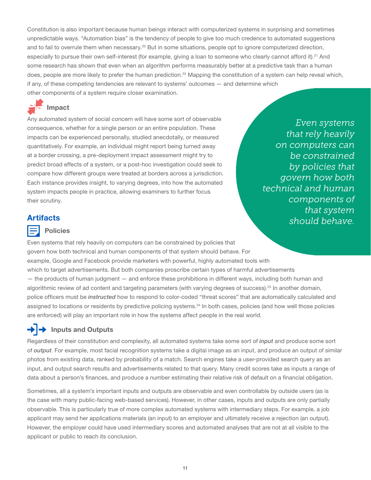<span id="page-10-0"></span>Constitution is also important because human beings interact with computerized systems in surprising and sometimes unpredictable ways. "Automation bias" is the tendency of people to give too much credence to automated suggestions and to fail to overrule them when necessary.<sup>20</sup> But in some situations, people opt to ignore computerized direction, especially to pursue their own self-interest (for example, giving a loan to someone who clearly cannot afford it).<sup>21</sup> And some research has shown that even when an algorithm performs measurably better at a predictive task than a human does, people are more likely to prefer the human prediction.<sup>22</sup> Mapping the constitution of a system can help reveal which, if any, of these competing tendencies are relevant to systems' outcomes — and determine which other components of a system require closer examination.

# Impact

Any automated system of social concern will have some sort of observable consequence, whether for a single person or an entire population. These impacts can be experienced personally, studied anecdotally, or measured quantitatively. For example, an individual might report being turned away at a border crossing, a pre-deployment impact assessment might try to predict broad effects of a system, or a post-hoc investigation could seek to compare how different groups were treated at borders across a jurisdiction. Each instance provides insight, to varying degrees, into how the automated system impacts people in practice, allowing examiners to further focus their scrutiny.

*Even systems that rely heavily on computers can be constrained by policies that govern how both technical and human components of that system should behave.*

# **Artifacts**

### Policies

Even systems that rely heavily on computers can be constrained by policies that govern how both technical and human components of that system should behave. For example, Google and Facebook provide marketers with powerful, highly automated tools with which to target advertisements. But both companies proscribe certain types of harmful advertisements — the products of human judgment — and enforce these prohibitions in different ways, including both human and algorithmic review of ad content and targeting parameters (with varying degrees of success).<sup>23</sup> In another domain, police officers must be *instructed* how to respond to color-coded "threat scores" that are automatically calculated and assigned to locations or residents by predictive policing systems.<sup>24</sup> In both cases, policies (and how well those policies are enforced) will play an important role in how the systems affect people in the real world.

# $\rightarrow$  Inputs and Outputs

Regardless of their constitution and complexity, all automated systems take some sort of *input* and produce some sort of *output*. For example, most facial recognition systems take a digital image as an input, and produce an output of similar photos from existing data, ranked by probability of a match. Search engines take a user-provided search query as an input, and output search results and advertisements related to that query. Many credit scores take as inputs a range of data about a person's finances, and produce a number estimating their relative risk of default on a financial obligation.

Sometimes, all a system's important inputs and outputs are observable and even controllable by outside users (as is the case with many public-facing web-based services). However, in other cases, inputs and outputs are only partially observable. This is particularly true of more complex automated systems with intermediary steps. For example, a job applicant may send her applications materials (an input) to an employer and ultimately receive a rejection (an output). However, the employer could have used intermediary scores and automated analyses that are not at all visible to the applicant or public to reach its conclusion.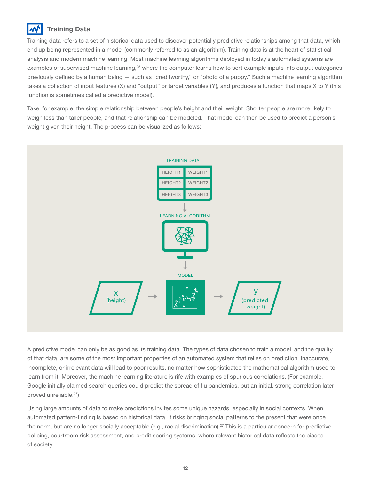# <span id="page-11-0"></span>Training Data

Training data refers to a set of historical data used to discover potentially predictive relationships among that data, which end up being represented in a model (commonly referred to as an algorithm). Training data is at the heart of statistical analysis and modern machine learning. Most machine learning algorithms deployed in today's automated systems are examples of supervised machine learning,<sup>25</sup> where the computer learns how to sort example inputs into output categories previously defined by a human being — such as "creditworthy," or "photo of a puppy." Such a machine learning algorithm takes a collection of input features (X) and "output" or target variables (Y), and produces a function that maps X to Y (this function is sometimes called a predictive model).

Take, for example, the simple relationship between people's height and their weight. Shorter people are more likely to weigh less than taller people, and that relationship can be modeled. That model can then be used to predict a person's weight given their height. The process can be visualized as follows:



A predictive model can only be as good as its training data. The types of data chosen to train a model, and the quality of that data, are some of the most important properties of an automated system that relies on prediction. Inaccurate, incomplete, or irrelevant data will lead to poor results, no matter how sophisticated the mathematical algorithm used to learn from it. Moreover, the machine learning literature is rife with examples of spurious correlations. (For example, Google initially claimed search queries could predict the spread of flu pandemics, but an initial, strong correlation later proved unreliable.26)

Using large amounts of data to make predictions invites some unique hazards, especially in social contexts. When automated pattern-finding is based on historical data, it risks bringing social patterns to the present that were once the norm, but are no longer socially acceptable (e.g., racial discrimination).<sup>27</sup> This is a particular concern for predictive policing, courtroom risk assessment, and credit scoring systems, where relevant historical data reflects the biases of society.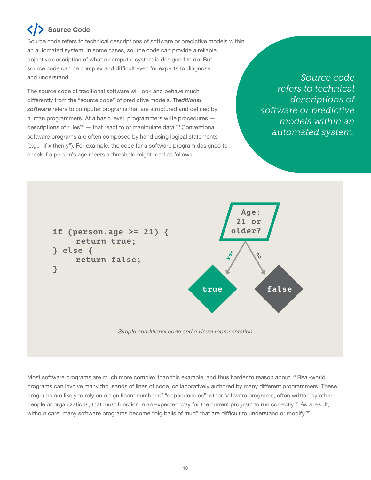# <span id="page-12-0"></span>Source Code

Source code refers to technical descriptions of software or predictive models within an automated system. In some cases, source code can provide a reliable, objective description of what a computer system is designed to do. But source code can be complex and difficult even for experts to diagnose and understand.

The source code of traditional software will look and behave much differently from the "source code" of predictive models. *Traditional software* refers to computer programs that are structured and defined by human programmers. At a basic level, programmers write procedures descriptions of rules<sup>28</sup>  $-$  that react to or manipulate data.<sup>29</sup> Conventional software programs are often composed by hand using logical statements (e.g., "if x then y"). For example, the code for a software program designed to check if a person's age meets a threshold might read as follows:

*Source code refers to technical descriptions of software or predictive models within an automated system.* 



Most software programs are much more complex than this example, and thus harder to reason about.<sup>30</sup> Real-world programs can involve many thousands of lines of code, collaboratively authored by many different programmers. These programs are likely to rely on a significant number of "dependencies": other software programs, often written by other people or organizations, that must function in an expected way for the current program to run correctly.<sup>31</sup> As a result, without care, many software programs become "big balls of mud" that are difficult to understand or modify.<sup>32</sup>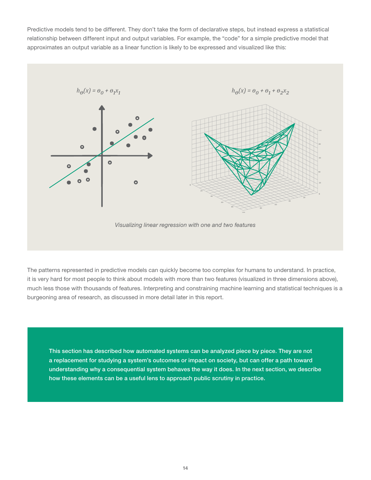Predictive models tend to be different. They don't take the form of declarative steps, but instead express a statistical relationship between different input and output variables. For example, the "code" for a simple predictive model that approximates an output variable as a linear function is likely to be expressed and visualized like this:



The patterns represented in predictive models can quickly become too complex for humans to understand. In practice, it is very hard for most people to think about models with more than two features (visualized in three dimensions above), much less those with thousands of features. Interpreting and constraining machine learning and statistical techniques is a burgeoning area of research, as discussed in more detail later in this report.

This section has described how automated systems can be analyzed piece by piece. They are not a replacement for studying a system's outcomes or impact on society, but can offer a path toward understanding why a consequential system behaves the way it does. In the next section, we describe how these elements can be a useful lens to approach public scrutiny in practice.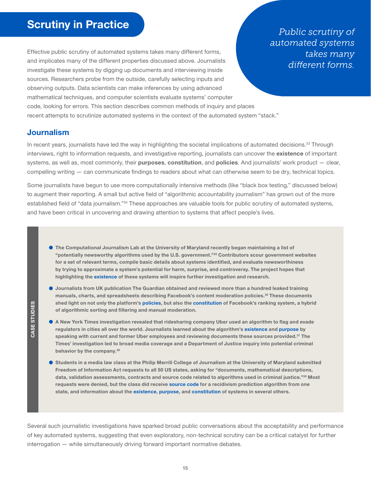<span id="page-14-0"></span>Effective public scrutiny of automated systems takes many different forms, and implicates many of the different properties discussed above. Journalists investigate these systems by digging up documents and interviewing inside sources. Researchers probe from the outside, carefully selecting inputs and observing outputs. Data scientists can make inferences by using advanced mathematical techniques, and computer scientists evaluate systems' computer code, looking for errors. This section describes common methods of inquiry and places recent attempts to scrutinize automated systems in the context of the automated system "stack."

*Public scrutiny of automated systems takes many different forms.*

### Journalism

In recent years, journalists have led the way in highlighting the societal implications of automated decisions.<sup>33</sup> Through interviews, right to information requests, and investigative reporting, journalists can uncover the existence of important systems, as well as, most commonly, their purposes, constitution, and policies. And journalists' work product  $-$  clear, compelling writing — can communicate findings to readers about what can otherwise seem to be dry, technical topics.

Some journalists have begun to use more computationally intensive methods (like "black box testing," discussed below) to augment their reporting. A small but active field of "algorithmic accountability journalism" has grown out of the more established field of "data journalism."<sup>34</sup> These approaches are valuable tools for public scrutiny of automated systems, and have been critical in uncovering and drawing attention to systems that affect people's lives.

- The Computational Journalism Lab at the University of Maryland recently began maintaining a list of "potentially newsworthy algorithms used by the U.S. government."35 Contributors scour government websites for a set of relevant terms, compile basic details about systems identified, and evaluate newsworthiness by trying to approximate a system's potential for harm, surprise, and controversy. The project hopes that highlighting the existence of these systems will inspire further investigation and research.
- Journalists from UK publication The Guardian obtained and reviewed more than a hundred leaked training manuals, charts, and spreadsheets describing Facebook's content moderation policies.<sup>36</sup> These documents shed light on not only the platform's policies, but also the constitution of Facebook's ranking system, a hybrid of algorithmic sorting and filtering and manual moderation.
- A New York Times investigation revealed that ridesharing company Uber used an algorithm to flag and evade regulators in cities all over the world. Journalists learned about the algorithm's existence and purpose by speaking with current and former Uber employees and reviewing documents these sources provided.<sup>37</sup> The Times' investigation led to broad media coverage and a Department of Justice inquiry into potential criminal behavior by the company.<sup>38</sup>
- Students in a media law class at the Philip Merrill College of Journalism at the University of Maryland submitted Freedom of Information Act requests to all 50 US states, asking for "documents, mathematical descriptions, data, validation assessments, contracts and source code related to algorithms used in criminal justice."39 Most requests were denied, but the class did receive source code for a recidivism prediction algorithm from one state, and information about the existence, purpose, and constitution of systems in several others.

Several such journalistic investigations have sparked broad public conversations about the acceptability and performance of key automated systems, suggesting that even exploratory, non-technical scrutiny can be a critical catalyst for further interrogation — while simultaneously driving forward important normative debates.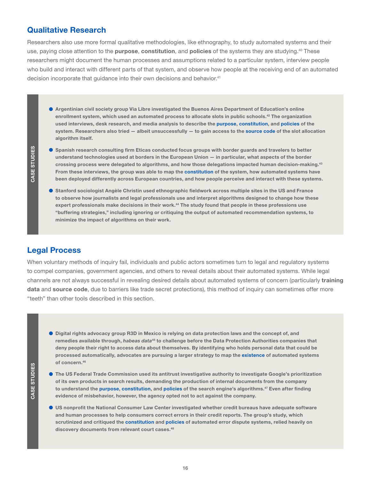# <span id="page-15-0"></span>Qualitative Research

Researchers also use more formal qualitative methodologies, like ethnography, to study automated systems and their use, paying close attention to the **purpose, constitution,** and **policies** of the systems they are studying.<sup>40</sup> These researchers might document the human processes and assumptions related to a particular system, interview people who build and interact with different parts of that system, and observe how people at the receiving end of an automated decision incorporate that guidance into their own decisions and behavior.<sup>41</sup>

 Argentinian civil society group Via Libre investigated the Buenos Aires Department of Education's online enrollment system, which used an automated process to allocate slots in public schools.<sup>42</sup> The organization used interviews, desk research, and media analysis to describe the purpose, constitution, and policies of the system. Researchers also tried  $-$  albeit unsuccessfully  $-$  to gain access to the source code of the slot allocation algorithm itself.

- **S** Spanish research consulting firm Eticas conducted focus groups with border guards and travelers to better understand technologies used at borders in the European Union — in particular, what aspects of the border crossing process were delegated to algorithms, and how those delegations impacted human decision-making.<sup>43</sup> From these interviews, the group was able to map the constitution of the system, how automated systems have been deployed differently across European countries, and how people perceive and interact with these systems.
- **Stanford sociologist Angèle Christin used ethnographic fieldwork across multiple sites in the US and France** to observe how journalists and legal professionals use and interpret algorithms designed to change how these expert professionals make decisions in their work.<sup>44</sup> The study found that people in these professions use "buffering strategies," including ignoring or critiquing the output of automated recommendation systems, to minimize the impact of algorithms on their work.

# Legal Process

When voluntary methods of inquiry fail, individuals and public actors sometimes turn to legal and regulatory systems to compel companies, government agencies, and others to reveal details about their automated systems. While legal channels are not always successful in revealing desired details about automated systems of concern (particularly training data and source code, due to barriers like trade secret protections), this method of inquiry can sometimes offer more "teeth" than other tools described in this section.

- Digital rights advocacy group R3D in Mexico is relying on data protection laws and the concept of, and remedies available through, *habeas data*45 to challenge before the Data Protection Authorities companies that deny people their right to access data about themselves. By identifying who holds personal data that could be processed automatically, advocates are pursuing a larger strategy to map the existence of automated systems of concern.46
- The US Federal Trade Commission used its antitrust investigative authority to investigate Google's prioritization of its own products in search results, demanding the production of internal documents from the company to understand the purpose, constitution, and policies of the search engine's algorithms.<sup>47</sup> Even after finding evidence of misbehavior, however, the agency opted not to act against the company.
- US nonprofit the National Consumer Law Center investigated whether credit bureaus have adequate software and human processes to help consumers correct errors in their credit reports. The group's study, which scrutinized and critiqued the constitution and policies of automated error dispute systems, relied heavily on discovery documents from relevant court cases.<sup>48</sup>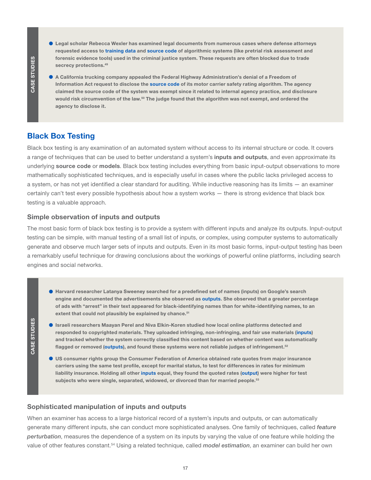CASE STUDIES CASE STUDIES

CASE STUDIES

CASE STUDIES

- <span id="page-16-0"></span> Legal scholar Rebecca Wexler has examined legal documents from numerous cases where defense attorneys requested access to training data and source code of algorithmic systems (like pretrial risk assessment and forensic evidence tools) used in the criminal justice system. These requests are often blocked due to trade secrecy protections.<sup>49</sup>
- A California trucking company appealed the Federal Highway Administration's denial of a Freedom of Information Act request to disclose the source code of its motor carrier safety rating algorithm. The agency claimed the source code of the system was exempt since it related to internal agency practice, and disclosure would risk circumvention of the law.<sup>50</sup> The judge found that the algorithm was not exempt, and ordered the agency to disclose it.

### Black Box Testing

Black box testing is any examination of an automated system without access to its internal structure or code. It covers a range of techniques that can be used to better understand a system's inputs and outputs, and even approximate its underlying source code or models. Black box testing includes everything from basic input-output observations to more mathematically sophisticated techniques, and is especially useful in cases where the public lacks privileged access to a system, or has not yet identified a clear standard for auditing. While inductive reasoning has its limits — an examiner certainly can't test every possible hypothesis about how a system works — there is strong evidence that black box testing is a valuable approach.

#### Simple observation of inputs and outputs

The most basic form of black box testing is to provide a system with different inputs and analyze its outputs. Input-output testing can be simple, with manual testing of a small list of inputs, or complex, using computer systems to automatically generate and observe much larger sets of inputs and outputs. Even in its most basic forms, input-output testing has been a remarkably useful technique for drawing conclusions about the workings of powerful online platforms, including search engines and social networks.

- Harvard researcher Latanya Sweeney searched for a predefined set of names (inputs) on Google's search engine and documented the advertisements she observed as outputs. She observed that a greater percentage of ads with "arrest" in their text appeared for black-identifying names than for white-identifying names, to an extent that could not plausibly be explained by chance.<sup>51</sup>
- **Israeli researchers Maayan Perel and Niva Elkin-Koren studied how local online platforms detected and** responded to copyrighted materials. They uploaded infringing, non-infringing, and fair use materials (inputs) and tracked whether the system correctly classified this content based on whether content was automatically flagged or removed (outputs), and found these systems were not reliable judges of infringement.<sup>52</sup>
- US consumer rights group the Consumer Federation of America obtained rate quotes from major insurance carriers using the same test profile, except for marital status, to test for differences in rates for minimum liability insurance. Holding all other inputs equal, they found the quoted rates (output) were higher for test subjects who were single, separated, widowed, or divorced than for married people.<sup>53</sup>

#### Sophisticated manipulation of inputs and outputs

When an examiner has access to a large historical record of a system's inputs and outputs, or can automatically generate many different inputs, she can conduct more sophisticated analyses. One family of techniques, called *feature perturbation*, measures the dependence of a system on its inputs by varying the value of one feature while holding the value of other features constant.54 Using a related technique, called *model estimation*, an examiner can build her own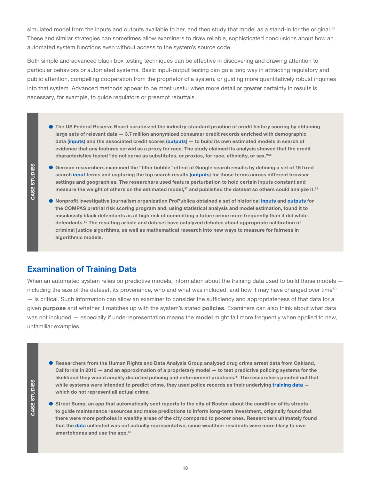<span id="page-17-0"></span>simulated model from the inputs and outputs available to her, and then study that model as a stand-in for the original.<sup>55</sup> These and similar strategies can sometimes allow examiners to draw reliable, sophisticated conclusions about how an automated system functions even without access to the system's source code.

Both simple and advanced black box testing techniques can be effective in discovering and drawing attention to particular behaviors or automated systems. Basic input-output testing can go a long way in attracting regulatory and public attention, compelling cooperation from the proprietor of a system, or guiding more quantitatively robust inquiries into that system. Advanced methods appear to be most useful when more detail or greater certainty in results is necessary, for example, to guide regulators or preempt rebuttals.

 The US Federal Reserve Board scrutinized the industry-standard practice of credit history scoring by obtaining large sets of relevant data — 3.7 million anonymized consumer credit records enriched with demographic data (inputs) and the associated credit scores (outputs) — to build its own estimated models in search of evidence that any features served as a proxy for race. The study claimed its analysis showed that the credit characteristics tested "do not serve as substitutes, or proxies, for race, ethnicity, or sex."56

- German researchers examined the "filter bubble" effect of Google search results by defining a set of 16 fixed search input terms and capturing the top search results (outputs) for those terms across different browser settings and geographies. The researchers used feature perturbation to hold certain inputs constant and measure the weight of others on the estimated model,<sup>57</sup> and published the dataset so others could analyze it.<sup>58</sup>
- Nonprofit investigative journalism organization ProPublica obtained a set of historical inputs and outputs for the COMPAS pretrial risk scoring program and, using statistical analysis and model estimation, found it to misclassify black defendants as at high risk of committing a future crime more frequently than it did white defendants.59 The resulting article and dataset have catalyzed debates about appropriate calibration of criminal justice algorithms, as well as mathematical research into new ways to measure for fairness in algorithmic models.

### Examination of Training Data

When an automated system relies on predictive models, information about the training data used to build those models including the size of the dataset, its provenance, who and what was included, and how it may have changed over time<sup>60</sup> — is critical. Such information can allow an examiner to consider the sufficiency and appropriateness of that data for a given purpose and whether it matches up with the system's stated policies. Examiners can also think about what data was not included — especially if underrepresentation means the model might fail more frequently when applied to new, unfamiliar examples.

- Researchers from the Human Rights and Data Analysis Group analyzed drug crime arrest data from Oakland, California in 2010 — and an approximation of a proprietary model — to test predictive policing systems for the likelihood they would amplify distorted policing and enforcement practices.<sup>61</sup> The researchers pointed out that while systems were intended to predict crime, they used police records as their underlying training data which do not represent all actual crime.
- Street Bump, an app that automatically sent reports to the city of Boston about the condition of its streets to guide maintenance resources and make predictions to inform long-term investment, originally found that there were more potholes in wealthy areas of the city compared to poorer ones. Researchers ultimately found that the data collected was not actually representative, since wealthier residents were more likely to own smartphones and use the app.<sup>62</sup>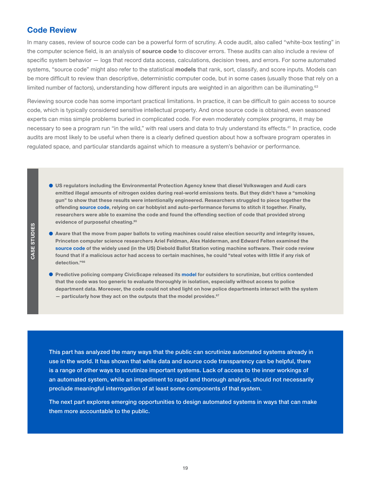### <span id="page-18-0"></span>Code Review

In many cases, review of source code can be a powerful form of scrutiny. A code audit, also called "white-box testing" in the computer science field, is an analysis of source code to discover errors. These audits can also include a review of specific system behavior — logs that record data access, calculations, decision trees, and errors. For some automated systems, "source code" might also refer to the statistical models that rank, sort, classify, and score inputs. Models can be more difficult to review than descriptive, deterministic computer code, but in some cases (usually those that rely on a limited number of factors), understanding how different inputs are weighted in an algorithm can be illuminating.<sup>63</sup>

Reviewing source code has some important practical limitations. In practice, it can be difficult to gain access to source code, which is typically considered sensitive intellectual property. And once source code is obtained, even seasoned experts can miss simple problems buried in complicated code. For even moderately complex programs, it may be necessary to see a program run "in the wild," with real users and data to truly understand its effects.<sup>41</sup> In practice, code audits are most likely to be useful when there is a clearly defined question about how a software program operates in regulated space, and particular standards against which to measure a system's behavior or performance.

- US regulators including the Environmental Protection Agency knew that diesel Volkswagen and Audi cars emitted illegal amounts of nitrogen oxides during real-world emissions tests. But they didn't have a "smoking gun" to show that these results were intentionally engineered. Researchers struggled to piece together the offending source code, relying on car hobbyist and auto-performance forums to stitch it together. Finally, researchers were able to examine the code and found the offending section of code that provided strong evidence of purposeful cheating.<sup>65</sup>
- Aware that the move from paper ballots to voting machines could raise election security and integrity issues, Princeton computer science researchers Ariel Feldman, Alex Halderman, and Edward Felten examined the source code of the widely used (in the US) Diebold Ballot Station voting machine software. Their code review found that if a malicious actor had access to certain machines, he could "steal votes with little if any risk of detection."66
- **Predictive policing company CivicScape released its model for outsiders to scrutinize, but critics contended** that the code was too generic to evaluate thoroughly in isolation, especially without access to police department data. Moreover, the code could not shed light on how police departments interact with the system  $-$  particularly how they act on the outputs that the model provides.<sup>67</sup>

This part has analyzed the many ways that the public can scrutinize automated systems already in use in the world. It has shown that while data and source code transparency can be helpful, there is a range of other ways to scrutinize important systems. Lack of access to the inner workings of an automated system, while an impediment to rapid and thorough analysis, should not necessarily preclude meaningful interrogation of at least some components of that system.

The next part explores emerging opportunities to design automated systems in ways that can make them more accountable to the public.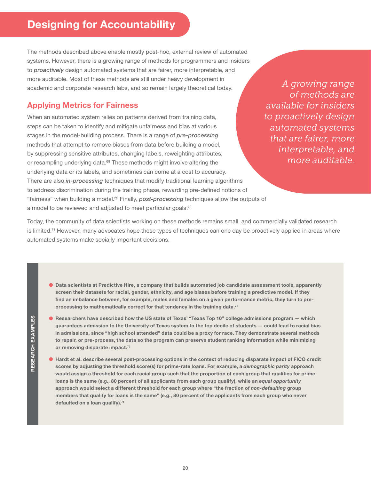# <span id="page-19-0"></span>**Designing for Accountability**

The methods described above enable mostly post-hoc, external review of automated systems. However, there is a growing range of methods for programmers and insiders to *proactively* design automated systems that are fairer, more interpretable, and more auditable. Most of these methods are still under heavy development in academic and corporate research labs, and so remain largely theoretical today.

# Applying Metrics for Fairness

When an automated system relies on patterns derived from training data, steps can be taken to identify and mitigate unfairness and bias at various stages in the model-building process. There is a range of *pre-processing* methods that attempt to remove biases from data before building a model, by suppressing sensitive attributes, changing labels, reweighting attributes, or resampling underlying data.<sup>68</sup> These methods might involve altering the underlying data or its labels, and sometimes can come at a cost to accuracy. There are also *in-processing* techniques that modify traditional learning algorithms to address discrimination during the training phase, rewarding pre-defined notions of "fairness" when building a model.69 Finally, *post-processing* techniques allow the outputs of a model to be reviewed and adjusted to meet particular goals.<sup>70</sup>

*A growing range of methods are available for insiders to proactively design automated systems that are fairer, more interpretable, and more auditable.*

Today, the community of data scientists working on these methods remains small, and commercially validated research is limited.<sup>71</sup> However, many advocates hope these types of techniques can one day be proactively applied in areas where automated systems make socially important decisions.

- Data scientists at Predictive Hire, a company that builds automated job candidate assessment tools, apparently screen their datasets for racial, gender, ethnicity, and age biases before training a predictive model. If they find an imbalance between, for example, males and females on a given performance metric, they turn to preprocessing to mathematically correct for that tendency in the training data.<sup>72</sup>
- Researchers have described how the US state of Texas' "Texas Top 10" college admissions program which guarantees admission to the University of Texas system to the top decile of students — could lead to racial bias in admissions, since "high school attended" data could be a proxy for race. They demonstrate several methods to repair, or pre-process, the data so the program can preserve student ranking information while minimizing or removing disparate impact.<sup>73</sup>
- Hardt et al. describe several post-processing options in the context of reducing disparate impact of FICO credit scores by adjusting the threshold score(s) for prime-rate loans. For example, a *demographic parity* approach would assign a threshold for each racial group such that the proportion of each group that qualifies for prime loans is the same (e.g., 80 percent of all applicants from each group qualify), while an *equal opportunity* approach would select a different threshold for each group where "the fraction of *non-defaulting* group members that qualify for loans is the same" (e.g., 80 percent of the applicants from each group who never defaulted on a loan qualify).<sup>74</sup>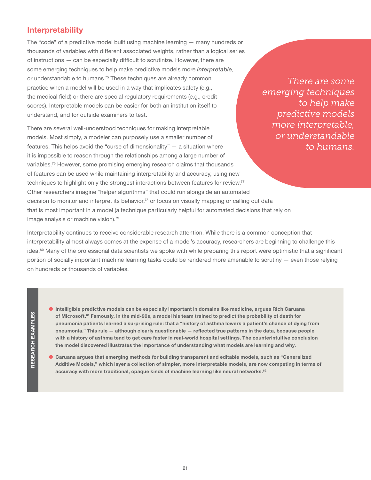# <span id="page-20-0"></span>Interpretability

The "code" of a predictive model built using machine learning — many hundreds or thousands of variables with different associated weights, rather than a logical series of instructions — can be especially difficult to scrutinize. However, there are some emerging techniques to help make predictive models more *interpretable*, or understandable to humans.<sup>75</sup> These techniques are already common practice when a model will be used in a way that implicates safety (e.g., the medical field) or there are special regulatory requirements (e.g., credit scores). Interpretable models can be easier for both an institution itself to understand, and for outside examiners to test.

There are several well-understood techniques for making interpretable models. Most simply, a modeler can purposely use a smaller number of features. This helps avoid the "curse of dimensionality" — a situation where it is impossible to reason through the relationships among a large number of variables.<sup>76</sup> However, some promising emerging research claims that thousands of features can be used while maintaining interpretability and accuracy, using new techniques to highlight only the strongest interactions between features for review.<sup>77</sup> Other researchers imagine "helper algorithms" that could run alongside an automated decision to monitor and interpret its behavior,<sup>78</sup> or focus on visually mapping or calling out data that is most important in a model (a technique particularly helpful for automated decisions that rely on image analysis or machine vision).<sup>79</sup>

*There are some emerging techniques to help make predictive models more interpretable, or understandable to humans.*

Interpretability continues to receive considerable research attention. While there is a common conception that interpretability almost always comes at the expense of a model's accuracy, researchers are beginning to challenge this idea.<sup>80</sup> Many of the professional data scientists we spoke with while preparing this report were optimistic that a significant portion of socially important machine learning tasks could be rendered more amenable to scrutiny — even those relying on hundreds or thousands of variables.

- Intelligible predictive models can be especially important in domains like medicine, argues Rich Caruana of Microsoft.<sup>81</sup> Famously, in the mid-90s, a model his team trained to predict the probability of death for pneumonia patients learned a surprising rule: that a "history of asthma lowers a patient's chance of dying from pneumonia." This rule — although clearly questionable — reflected true patterns in the data, because people with a history of asthma tend to get care faster in real-world hospital settings. The counterintuitive conclusion the model discovered illustrates the importance of understanding what models are learning and why.
- Caruana argues that emerging methods for building transparent and editable models, such as "Generalized Additive Models," which layer a collection of simpler, more interpretable models, are now competing in terms of accuracy with more traditional, opaque kinds of machine learning like neural networks.<sup>82</sup>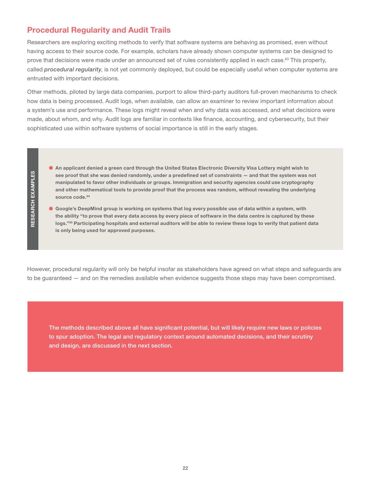# <span id="page-21-0"></span>Procedural Regularity and Audit Trails

Researchers are exploring exciting methods to verify that software systems are behaving as promised, even without having access to their source code. For example, scholars have already shown computer systems can be designed to prove that decisions were made under an announced set of rules consistently applied in each case.<sup>83</sup> This property, called *procedural regularity*, is not yet commonly deployed, but could be especially useful when computer systems are entrusted with important decisions.

Other methods, piloted by large data companies, purport to allow third-party auditors full-proven mechanisms to check how data is being processed. Audit logs, when available, can allow an examiner to review important information about a system's use and performance. These logs might reveal when and why data was accessed, and what decisions were made, about whom, and why. Audit logs are familiar in contexts like finance, accounting, and cybersecurity, but their sophisticated use within software systems of social importance is still in the early stages.

- RESEARCH EXAMPLES RESEARCH EXAMPLES
- An applicant denied a green card through the United States Electronic Diversity Visa Lottery might wish to see proof that she was denied randomly, under a predefined set of constraints — and that the system was not manipulated to favor other individuals or groups. Immigration and security agencies could use cryptography and other mathematical tools to provide proof that the process was random, without revealing the underlying source code.<sup>84</sup>
- Google's DeepMind group is working on systems that log every possible use of data within a system, with the ability "to prove that every data access by every piece of software in the data centre is captured by these logs."85 Participating hospitals and external auditors will be able to review these logs to verify that patient data is only being used for approved purposes.

However, procedural regularity will only be helpful insofar as stakeholders have agreed on what steps and safeguards are to be guaranteed — and on the remedies available when evidence suggests those steps may have been compromised.

The methods described above all have significant potential, but will likely require new laws or policies to spur adoption. The legal and regulatory context around automated decisions, and their scrutiny and design, are discussed in the next section.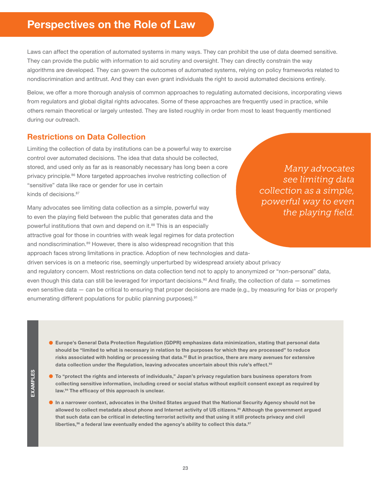# <span id="page-22-0"></span>**Perspectives on the Role of Law**

Laws can affect the operation of automated systems in many ways. They can prohibit the use of data deemed sensitive. They can provide the public with information to aid scrutiny and oversight. They can directly constrain the way algorithms are developed. They can govern the outcomes of automated systems, relying on policy frameworks related to nondiscrimination and antitrust. And they can even grant individuals the right to avoid automated decisions entirely.

Below, we offer a more thorough analysis of common approaches to regulating automated decisions, incorporating views from regulators and global digital rights advocates. Some of these approaches are frequently used in practice, while others remain theoretical or largely untested. They are listed roughly in order from most to least frequently mentioned during our outreach.

# Restrictions on Data Collection

Limiting the collection of data by institutions can be a powerful way to exercise control over automated decisions. The idea that data should be collected, stored, and used only as far as is reasonably necessary has long been a core privacy principle.<sup>86</sup> More targeted approaches involve restricting collection of "sensitive" data like race or gender for use in certain kinds of decisions.<sup>87</sup>

Many advocates see limiting data collection as a simple, powerful way to even the playing field between the public that generates data and the powerful institutions that own and depend on it.<sup>88</sup> This is an especially attractive goal for those in countries with weak legal regimes for data protection and nondiscrimination.<sup>89</sup> However, there is also widespread recognition that this approach faces strong limitations in practice. Adoption of new technologies and datadriven services is on a meteoric rise, seemingly unperturbed by widespread anxiety about privacy and regulatory concern. Most restrictions on data collection tend not to apply to anonymized or "non-personal" data, even though this data can still be leveraged for important decisions.<sup>90</sup> And finally, the collection of data – sometimes even sensitive data — can be critical to ensuring that proper decisions are made (e.g., by measuring for bias or properly enumerating different populations for public planning purposes).<sup>91</sup>

*Many advocates see limiting data collection as a simple, powerful way to even the playing field.*

 Europe's General Data Protection Regulation (GDPR) emphasizes data minimization, stating that personal data should be "limited to what is necessary in relation to the purposes for which they are processed" to reduce risks associated with holding or processing that data.<sup>92</sup> But in practice, there are many avenues for extensive data collection under the Regulation, leaving advocates uncertain about this rule's effect.<sup>93</sup>

 To "protect the rights and interests of individuals," Japan's privacy regulation bars business operators from collecting sensitive information, including creed or social status without explicit consent except as required by law.<sup>94</sup> The efficacy of this approach is unclear.

 In a narrower context, advocates in the United States argued that the National Security Agency should not be allowed to collect metadata about phone and Internet activity of US citizens.<sup>95</sup> Although the government argued that such data can be critical in detecting terrorist activity and that using it still protects privacy and civil liberties, $96$  a federal law eventually ended the agency's ability to collect this data. $97$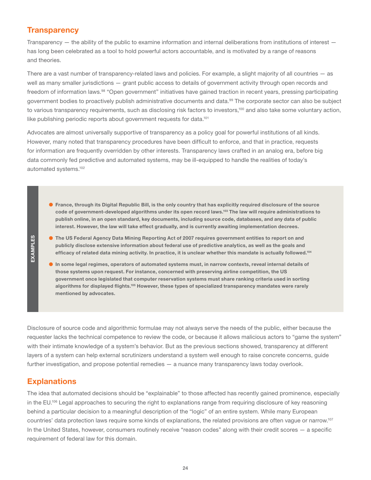### <span id="page-23-0"></span>**Transparency**

Transparency — the ability of the public to examine information and internal deliberations from institutions of interest has long been celebrated as a tool to hold powerful actors accountable, and is motivated by a range of reasons and theories.

There are a vast number of transparency-related laws and policies. For example, a slight majority of all countries — as well as many smaller jurisdictions — grant public access to details of government activity through open records and freedom of information laws.<sup>98</sup> "Open government" initiatives have gained traction in recent years, pressing participating government bodies to proactively publish administrative documents and data.<sup>99</sup> The corporate sector can also be subject to various transparency requirements, such as disclosing risk factors to investors,<sup>100</sup> and also take some voluntary action, like publishing periodic reports about government requests for data.<sup>101</sup>

Advocates are almost universally supportive of transparency as a policy goal for powerful institutions of all kinds. However, many noted that transparency procedures have been difficult to enforce, and that in practice, requests for information are frequently overridden by other interests. Transparency laws crafted in an analog era, before big data commonly fed predictive and automated systems, may be ill-equipped to handle the realities of today's automated systems.102

- France, through its Digital Republic Bill, is the only country that has explicitly required disclosure of the source code of government-developed algorithms under its open record laws.<sup>103</sup> The law will require administrations to publish online, in an open standard, key documents, including source code, databases, and any data of public interest. However, the law will take effect gradually, and is currently awaiting implementation decrees.
- EXAMPLES EXAMPLES
- **The US Federal Agency Data Mining Reporting Act of 2007 requires government entities to report on and** publicly disclose extensive information about federal use of predictive analytics, as well as the goals and efficacy of related data mining activity. In practice, it is unclear whether this mandate is actually followed.<sup>104</sup>
- In some legal regimes, operators of automated systems must, in narrow contexts, reveal internal details of those systems upon request. For instance, concerned with preserving airline competition, the US government once legislated that computer reservation systems must share ranking criteria used in sorting algorithms for displayed flights.<sup>105</sup> However, these types of specialized transparency mandates were rarely mentioned by advocates.

Disclosure of source code and algorithmic formulae may not always serve the needs of the public, either because the requester lacks the technical competence to review the code, or because it allows malicious actors to "game the system" with their intimate knowledge of a system's behavior. But as the previous sections showed, transparency at different layers of a system can help external scrutinizers understand a system well enough to raise concrete concerns, guide further investigation, and propose potential remedies — a nuance many transparency laws today overlook.

# **Explanations**

The idea that automated decisions should be "explainable" to those affected has recently gained prominence, especially in the EU.<sup>106</sup> Legal approaches to securing the right to explanations range from requiring disclosure of key reasoning behind a particular decision to a meaningful description of the "logic" of an entire system. While many European countries' data protection laws require some kinds of explanations, the related provisions are often vague or narrow.107 In the United States, however, consumers routinely receive "reason codes" along with their credit scores — a specific requirement of federal law for this domain.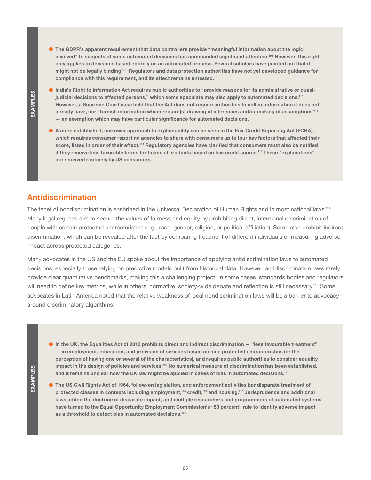<span id="page-24-0"></span> The GDPR's apparent requirement that data controllers provide "meaningful information about the logic involved" to subjects of some automated decisions has commanded significant attention.<sup>108</sup> However, this right only applies to decisions based entirely on an automated process. Several scholars have pointed out that it might not be legally binding.109 Regulators and data protection authorities have not yet developed guidance for compliance with this requirement, and its effect remains untested.

- India's Right to Information Act requires public authorities to "provide reasons for its administrative or quasijudicial decisions to affected persons," which some speculate may also apply to automated decisions.<sup>110</sup> However, a Supreme Court case held that the Act does not require authorities to collect information it does not already have, nor "furnish information which require[s] drawing of inferences and/or making of assumptions"111 — an exemption which may have particular significance for automated decisions.
- A more established, narrower approach to explainability can be seen in the Fair Credit Reporting Act (FCRA), which requires consumer reporting agencies to share with consumers up to four key factors that affected their score, listed in order of their effect.<sup>112</sup> Regulatory agencies have clarified that consumers must also be notified if they receive less favorable terms for financial products based on low credit scores.<sup>113</sup> These "explanations" are received routinely by US consumers.

### Antidiscrimination

The tenet of nondiscrimination is enshrined in the Universal Declaration of Human Rights and in most national laws.<sup>114</sup> Many legal regimes aim to secure the values of fairness and equity by prohibiting direct, intentional discrimination of people with certain protected characteristics (e.g., race, gender, religion, or political affiliation). Some also prohibit indirect discrimination, which can be revealed after the fact by comparing treatment of different individuals or measuring adverse impact across protected categories.

Many advocates in the US and the EU spoke about the importance of applying antidiscrimination laws to automated decisions, especially those relying on predictive models built from historical data. However, antidiscrimination laws rarely provide clear quantitative benchmarks, making this a challenging project. In some cases, standards bodies and regulators will need to define key metrics, while in others, normative, society-wide debate and reflection is still necessary.<sup>115</sup> Some advocates in Latin America noted that the relative weakness of local nondiscrimination laws will be a barrier to advocacy around discriminatory algorithms.

- In the UK, the Equalities Act of 2010 prohibits direct and indirect discrimination "less favourable treatment" — in employment, education, and provision of services based on nine protected characteristics (or the perception of having one or several of the characteristics), and requires public authorities to consider equality impact in the design of policies and services.116 No numerical measure of discrimination has been established, and it remains unclear how the UK law might be applied in cases of bias in automated decisions.117
- EXAMPLES EXAMPLES

 The US Civil Rights Act of 1964, follow-on legislation, and enforcement activities bar disparate treatment of protected classes in contexts including employment,118 credit,119 and housing.120 Jurisprudence and additional laws added the doctrine of disparate impact, and multiple researchers and programmers of automated systems have turned to the Equal Opportunity Employment Commission's "80 percent" rule to identify adverse impact as a threshold to detect bias in automated decisions.<sup>121</sup>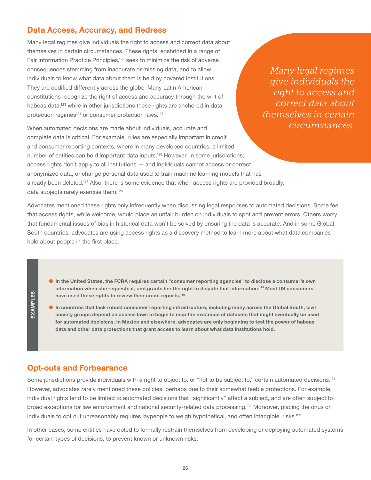### <span id="page-25-0"></span>Data Access, Accuracy, and Redress

Many legal regimes give individuals the right to access and correct data about themselves in certain circumstances. These rights, enshrined in a range of Fair Information Practice Principles,<sup>122</sup> seek to minimize the risk of adverse consequences stemming from inaccurate or missing data, and to allow individuals to know what data about them is held by covered institutions. They are codified differently across the globe: Many Latin American constitutions recognize the right of access and accuracy through the writ of habeas data,<sup>123</sup> while in other jurisdictions these rights are anchored in data protection regimes<sup>124</sup> or consumer protection laws.<sup>125</sup>

*Many legal regimes give individuals the right to access and correct data about themselves in certain circumstances.* 

When automated decisions are made about individuals, accurate and complete data is critical. For example, rules are especially important in credit and consumer reporting contexts, where in many developed countries, a limited number of entities can hold important data inputs.126 However, in some jurisdictions, access rights don't apply to all institutions — and individuals cannot access or correct anonymized data, or change personal data used to train machine learning models that has already been deleted.<sup>127</sup> Also, there is some evidence that when access rights are provided broadly, data subjects rarely exercise them.<sup>128</sup>

Advocates mentioned these rights only infrequently when discussing legal responses to automated decisions. Some feel that access rights, while welcome, would place an unfair burden on individuals to spot and prevent errors. Others worry that fundamental issues of bias in historical data won't be solved by ensuring the data is accurate. And in some Global South countries, advocates are using access rights as a discovery method to learn more about what data companies hold about people in the first place.

- In the United States, the FCRA requires certain "consumer reporting agencies" to disclose a consumer's own information when she requests it, and grants her the right to dispute that information.129 Most US consumers have used these rights to review their credit reports.<sup>130</sup>
- In countries that lack robust consumer reporting infrastructure, including many across the Global South, civil society groups depend on access laws to begin to map the existence of datasets that might eventually be used for automated decisions. In Mexico and elsewhere, advocates are only beginning to test the power of habeas data and other data protections that grant access to learn about what data institutions hold.

#### Opt-outs and Forbearance

Some jurisdictions provide individuals with a right to object to, or "not to be subject to," certain automated decisions.<sup>131</sup> However, advocates rarely mentioned these policies, perhaps due to their somewhat feeble protections. For example, individual rights tend to be limited to automated decisions that "significantly" affect a subject, and are often subject to broad exceptions for law enforcement and national security-related data processing.132 Moreover, placing the onus on individuals to opt out unreasonably requires laypeople to weigh hypothetical, and often intangible, risks.<sup>133</sup>

In other cases, some entities have opted to formally restrain themselves from developing or deploying automated systems for certain types of decisions, to prevent known or unknown risks.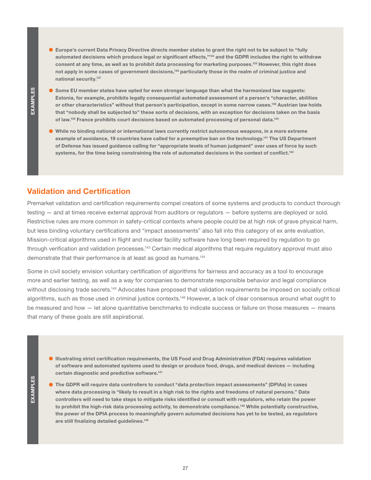<span id="page-26-0"></span> Europe's current Data Privacy Directive directs member states to grant the right not to be subject to "fully automated decisions which produce legal or significant effects,"134 and the GDPR includes the right to withdraw consent at any time, as well as to prohibit data processing for marketing purposes.135 However, this right does not apply in some cases of government decisions,<sup>136</sup> particularly those in the realm of criminal justice and national security.137

- Some EU member states have opted for even stronger language than what the harmonized law suggests: Estonia, for example, prohibits legally consequential automated assessment of a person's "character, abilities or other characteristics" without that person's participation, except in some narrow cases.<sup>138</sup> Austrian law holds that "nobody shall be subjected to" these sorts of decisions, with an exception for decisions taken on the basis of law.<sup>139</sup> France prohibits court decisions based on automated processing of personal data.<sup>140</sup>
- While no binding national or international laws currently restrict autonomous weapons, in a more extreme example of avoidance, 19 countries have called for a preemptive ban on the technology.<sup>141</sup> The US Department of Defense has issued guidance calling for "appropriate levels of human judgment" over uses of force by such systems, for the time being constraining the role of automated decisions in the context of conflict.<sup>142</sup>

### Validation and Certification

Premarket validation and certification requirements compel creators of some systems and products to conduct thorough testing — and at times receive external approval from auditors or regulators — before systems are deployed or sold. Restrictive rules are more common in safety-critical contexts where people could be at high risk of grave physical harm, but less binding voluntary certifications and "impact assessments" also fall into this category of ex ante evaluation. Mission-critical algorithms used in flight and nuclear facility software have long been required by regulation to go through verification and validation processes.<sup>143</sup> Certain medical algorithms that require regulatory approval must also demonstrate that their performance is at least as good as humans.<sup>144</sup>

Some in civil society envision voluntary certification of algorithms for fairness and accuracy as a tool to encourage more and earlier testing, as well as a way for companies to demonstrate responsible behavior and legal compliance without disclosing trade secrets.<sup>145</sup> Advocates have proposed that validation requirements be imposed on socially critical algorithms, such as those used in criminal justice contexts.<sup>146</sup> However, a lack of clear consensus around what ought to be measured and how — let alone quantitative benchmarks to indicate success or failure on those measures — means that many of these goals are still aspirational.

- Illustrating strict certification requirements, the US Food and Drug Administration (FDA) requires validation of software and automated systems used to design or produce food, drugs, and medical devices — including certain diagnostic and predictive software.<sup>147</sup>
- **EXAMPLES** EXAMPLES

 The GDPR will require data controllers to conduct "data protection impact assessments" (DPIAs) in cases where data processing is "likely to result in a high risk to the rights and freedoms of natural persons." Data controllers will need to take steps to mitigate risks identified or consult with regulators, who retain the power to prohibit the high-risk data processing activity, to demonstrate compliance.148 While potentially constructive, the power of the DPIA process to meaningfully govern automated decisions has yet to be tested, as regulators are still finalizing detailed guidelines.<sup>149</sup>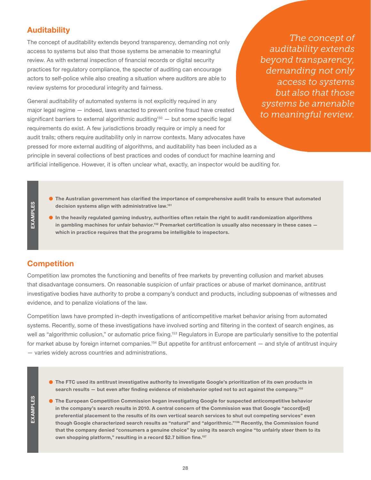# <span id="page-27-0"></span>**Auditability**

The concept of auditability extends beyond transparency, demanding not only access to systems but also that those systems be amenable to meaningful review. As with external inspection of financial records or digital security practices for regulatory compliance, the specter of auditing can encourage actors to self-police while also creating a situation where auditors are able to review systems for procedural integrity and fairness.

General auditability of automated systems is not explicitly required in any major legal regime — indeed, laws enacted to prevent online fraud have created significant barriers to external algorithmic auditing<sup>150</sup>  $-$  but some specific legal requirements do exist. A few jurisdictions broadly require or imply a need for audit trails; others require auditability only in narrow contexts. Many advocates have pressed for more external auditing of algorithms, and auditability has been included as a principle in several collections of best practices and codes of conduct for machine learning and artificial intelligence. However, it is often unclear what, exactly, an inspector would be auditing for.

*The concept of auditability extends beyond transparency, demanding not only access to systems but also that those systems be amenable to meaningful review.*

- The Australian government has clarified the importance of comprehensive audit trails to ensure that automated decision systems align with administrative law.<sup>151</sup>
- $\bullet$  In the heavily regulated gaming industry, authorities often retain the right to audit randomization algorithms in gambling machines for unfair behavior.<sup>152</sup> Premarket certification is usually also necessary in these cases  $$ which in practice requires that the programs be intelligible to inspectors.

# **Competition**

EXAMPLES

EXAMPLES

Competition law promotes the functioning and benefits of free markets by preventing collusion and market abuses that disadvantage consumers. On reasonable suspicion of unfair practices or abuse of market dominance, antitrust investigative bodies have authority to probe a company's conduct and products, including subpoenas of witnesses and evidence, and to penalize violations of the law.

Competition laws have prompted in-depth investigations of anticompetitive market behavior arising from automated systems. Recently, some of these investigations have involved sorting and filtering in the context of search engines, as well as "algorithmic collusion," or automatic price fixing.<sup>153</sup> Regulators in Europe are particularly sensitive to the potential for market abuse by foreign internet companies.<sup>154</sup> But appetite for antitrust enforcement — and style of antitrust inquiry — varies widely across countries and administrations.

- The FTC used its antitrust investigative authority to investigate Google's prioritization of its own products in search results - but even after finding evidence of misbehavior opted not to act against the company.<sup>155</sup>
- The European Competition Commission began investigating Google for suspected anticompetitive behavior in the company's search results in 2010. A central concern of the Commission was that Google "accord[ed] preferential placement to the results of its own vertical search services to shut out competing services" even though Google characterized search results as "natural" and "algorithmic."<sup>156</sup> Recently, the Commission found that the company denied "consumers a genuine choice" by using its search engine "to unfairly steer them to its own shopping platform," resulting in a record \$2.7 billion fine.<sup>157</sup>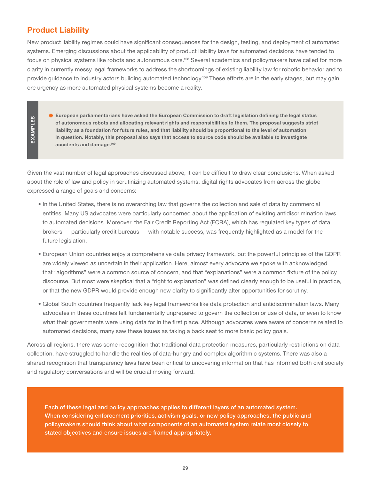# <span id="page-28-0"></span>Product Liability

New product liability regimes could have significant consequences for the design, testing, and deployment of automated systems. Emerging discussions about the applicability of product liability laws for automated decisions have tended to focus on physical systems like robots and autonomous cars.<sup>158</sup> Several academics and policymakers have called for more clarity in currently messy legal frameworks to address the shortcomings of existing liability law for robotic behavior and to provide guidance to industry actors building automated technology.159 These efforts are in the early stages, but may gain ore urgency as more automated physical systems become a reality.

EXAMPLES EXAMPLES  European parliamentarians have asked the European Commission to draft legislation defining the legal status of autonomous robots and allocating relevant rights and responsibilities to them. The proposal suggests strict liability as a foundation for future rules, and that liability should be proportional to the level of automation in question. Notably, this proposal also says that access to source code should be available to investigate accidents and damage.<sup>160</sup>

Given the vast number of legal approaches discussed above, it can be difficult to draw clear conclusions. When asked about the role of law and policy in scrutinizing automated systems, digital rights advocates from across the globe expressed a range of goals and concerns:

- In the United States, there is no overarching law that governs the collection and sale of data by commercial entities. Many US advocates were particularly concerned about the application of existing antidiscrimination laws to automated decisions. Moreover, the Fair Credit Reporting Act (FCRA), which has regulated key types of data brokers — particularly credit bureaus — with notable success, was frequently highlighted as a model for the future legislation.
- European Union countries enjoy a comprehensive data privacy framework, but the powerful principles of the GDPR are widely viewed as uncertain in their application. Here, almost every advocate we spoke with acknowledged that "algorithms" were a common source of concern, and that "explanations" were a common fixture of the policy discourse. But most were skeptical that a "right to explanation" was defined clearly enough to be useful in practice, or that the new GDPR would provide enough new clarity to significantly alter opportunities for scrutiny.
- Global South countries frequently lack key legal frameworks like data protection and antidiscrimination laws. Many advocates in these countries felt fundamentally unprepared to govern the collection or use of data, or even to know what their governments were using data for in the first place. Although advocates were aware of concerns related to automated decisions, many saw these issues as taking a back seat to more basic policy goals.

Across all regions, there was some recognition that traditional data protection measures, particularly restrictions on data collection, have struggled to handle the realities of data-hungry and complex algorithmic systems. There was also a shared recognition that transparency laws have been critical to uncovering information that has informed both civil society and regulatory conversations and will be crucial moving forward.

Each of these legal and policy approaches applies to different layers of an automated system. When considering enforcement priorities, activism goals, or new policy approaches, the public and policymakers should think about what components of an automated system relate most closely to stated objectives and ensure issues are framed appropriately.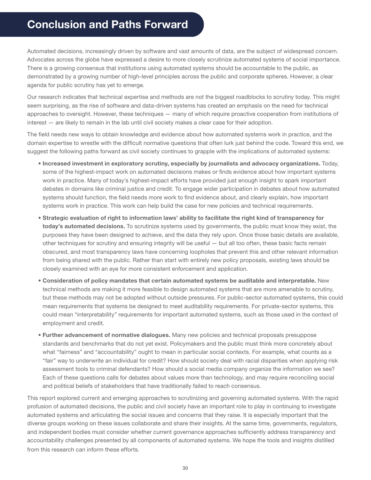# <span id="page-29-0"></span>**Conclusion and Paths Forward**

Automated decisions, increasingly driven by software and vast amounts of data, are the subject of widespread concern. Advocates across the globe have expressed a desire to more closely scrutinize automated systems of social importance. There is a growing consensus that institutions using automated systems should be accountable to the public, as demonstrated by a growing number of high-level principles across the public and corporate spheres. However, a clear agenda for public scrutiny has yet to emerge.

Our research indicates that technical expertise and methods are not the biggest roadblocks to scrutiny today. This might seem surprising, as the rise of software and data-driven systems has created an emphasis on the need for technical approaches to oversight. However, these techniques — many of which require proactive cooperation from institutions of interest — are likely to remain in the lab until civil society makes a clear case for their adoption.

The field needs new ways to obtain knowledge and evidence about how automated systems work in practice, and the domain expertise to wrestle with the difficult normative questions that often lurk just behind the code. Toward this end, we suggest the following paths forward as civil society continues to grapple with the implications of automated systems:

- Increased investment in exploratory scrutiny, especially by journalists and advocacy organizations. Today, some of the highest-impact work on automated decisions makes or finds evidence about how important systems work in practice. Many of today's highest-impact efforts have provided just enough insight to spark important debates in domains like criminal justice and credit. To engage wider participation in debates about how automated systems should function, the field needs more work to find evidence about, and clearly explain, how important systems work in practice. This work can help build the case for new policies and technical requirements.
- Strategic evaluation of right to information laws' ability to facilitate the right kind of transparency for today's automated decisions. To scrutinize systems used by governments, the public must know they exist, the purposes they have been designed to achieve, and the data they rely upon. Once those basic details are available, other techniques for scrutiny and ensuring integrity will be useful — but all too often, these basic facts remain obscured, and most transparency laws have concerning loopholes that prevent this and other relevant information from being shared with the public. Rather than start with entirely new policy proposals, existing laws should be closely examined with an eye for more consistent enforcement and application.
- Consideration of policy mandates that certain automated systems be auditable and interpretable. New technical methods are making it more feasible to design automated systems that are more amenable to scrutiny, but these methods may not be adopted without outside pressures. For public-sector automated systems, this could mean requirements that systems be designed to meet auditability requirements. For private-sector systems, this could mean "interpretability" requirements for important automated systems, such as those used in the context of employment and credit.
- Further advancement of normative dialogues. Many new policies and technical proposals presuppose standards and benchmarks that do not yet exist. Policymakers and the public must think more concretely about what "fairness" and "accountability" ought to mean in particular social contexts. For example, what counts as a "fair" way to underwrite an individual for credit? How should society deal with racial disparities when applying risk assessment tools to criminal defendants? How should a social media company organize the information we see? Each of these questions calls for debates about values more than technology, and may require reconciling social and political beliefs of stakeholders that have traditionally failed to reach consensus.

This report explored current and emerging approaches to scrutinizing and governing automated systems. With the rapid profusion of automated decisions, the public and civil society have an important role to play in continuing to investigate automated systems and articulating the social issues and concerns that they raise. It is especially important that the diverse groups working on these issues collaborate and share their insights. At the same time, governments, regulators, and independent bodies must consider whether current governance approaches sufficiently address transparency and accountability challenges presented by all components of automated systems. We hope the tools and insights distilled from this research can inform these efforts.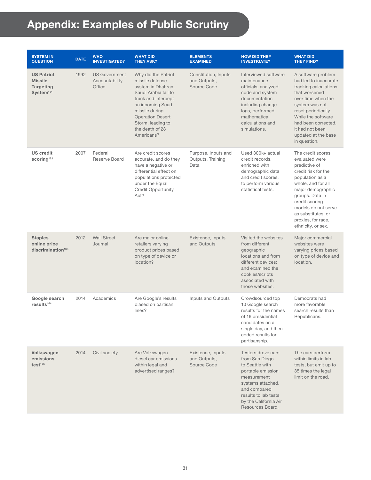# <span id="page-30-0"></span>**Appendix: Examples of Public Scrutiny**

| <b>SYSTEM IN</b><br><b>QUESTION</b>                                              | <b>DATE</b> | <b>WHO</b><br><b>INVESTIGATED?</b>               | <b>WHAT DID</b><br><b>THEY ASK?</b>                                                                                                                                                                                                | <b>ELEMENTS</b><br><b>EXAMINED</b>                  | <b>HOW DID THEY</b><br><b>INVESTIGATE?</b>                                                                                                                                                            | <b>WHAT DID</b><br><b>THEY FIND?</b>                                                                                                                                                                                                                                    |
|----------------------------------------------------------------------------------|-------------|--------------------------------------------------|------------------------------------------------------------------------------------------------------------------------------------------------------------------------------------------------------------------------------------|-----------------------------------------------------|-------------------------------------------------------------------------------------------------------------------------------------------------------------------------------------------------------|-------------------------------------------------------------------------------------------------------------------------------------------------------------------------------------------------------------------------------------------------------------------------|
| <b>US Patriot</b><br><b>Missile</b><br><b>Targeting</b><br>System <sup>161</sup> | 1992        | <b>US Government</b><br>Accountability<br>Office | Why did the Patriot<br>missile defense<br>system in Dhahran,<br>Saudi Arabia fail to<br>track and intercept<br>an incoming Scud<br>missile during<br><b>Operation Desert</b><br>Storm, leading to<br>the death of 28<br>Americans? | Constitution, Inputs<br>and Outputs,<br>Source Code | Interviewed software<br>maintenance<br>officials, analyzed<br>code and system<br>documentation<br>including change<br>logs, performed<br>mathematical<br>calculations and<br>simulations.             | A software problem<br>had led to inaccurate<br>tracking calculations<br>that worsened<br>over time when the<br>system was not<br>reset periodically.<br>While the software<br>had been corrected.<br>it had not been<br>updated at the base<br>in question.             |
| <b>US</b> credit<br>scoring <sup>162</sup>                                       | 2007        | Federal<br>Reserve Board                         | Are credit scores<br>accurate, and do they<br>have a negative or<br>differential effect on<br>populations protected<br>under the Equal<br><b>Credit Opportunity</b><br>Act?                                                        | Purpose, Inputs and<br>Outputs, Training<br>Data    | Used 300k+ actual<br>credit records,<br>enriched with<br>demographic data<br>and credit scores,<br>to perform various<br>statistical tests.                                                           | The credit scores<br>evaluated were<br>predictive of<br>credit risk for the<br>population as a<br>whole, and for all<br>major demographic<br>groups. Data in<br>credit scoring<br>models do not serve<br>as substitutes, or<br>proxies, for race,<br>ethnicity, or sex. |
| <b>Staples</b><br>online price<br>discrimination <sup>163</sup>                  | 2012        | <b>Wall Street</b><br>Journal                    | Are major online<br>retailers varying<br>product prices based<br>on type of device or<br>location?                                                                                                                                 | Existence, Inputs<br>and Outputs                    | Visited the websites<br>from different<br>geographic<br>locations and from<br>different devices:<br>and examined the<br>cookies/scripts<br>associated with<br>those websites.                         | Major commercial<br>websites were<br>varying prices based<br>on type of device and<br>location.                                                                                                                                                                         |
| Google search<br>results <sup>164</sup>                                          | 2014        | Academics                                        | Are Google's results<br>biased on partisan<br>lines?                                                                                                                                                                               | Inputs and Outputs                                  | Crowdsourced top<br>10 Google search<br>results for the names<br>of 16 presidential<br>candidates on a<br>single day, and then<br>coded results for<br>partisanship.                                  | Democrats had<br>more favorable<br>search results than<br>Republicans.                                                                                                                                                                                                  |
| Volkswagen<br>emissions<br>test <sup>165</sup>                                   | 2014        | Civil society                                    | Are Volkswagen<br>diesel car emissions<br>within legal and<br>advertised ranges?                                                                                                                                                   | Existence, Inputs<br>and Outputs,<br>Source Code    | Testers drove cars<br>from San Diego<br>to Seattle with<br>portable emission<br>measurement<br>systems attached,<br>and compared<br>results to lab tests<br>by the California Air<br>Resources Board. | The cars perform<br>within limits in lab<br>tests, but emit up to<br>35 times the legal<br>limit on the road.                                                                                                                                                           |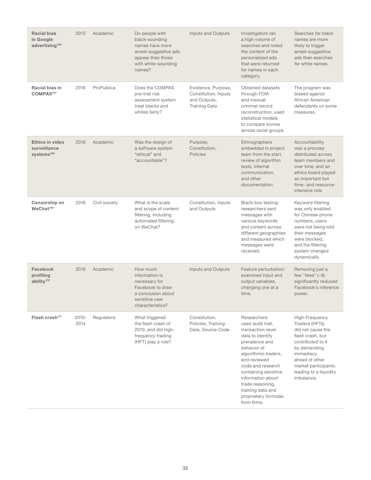| <b>Racial bias</b><br>in Google<br>advertising <sup>166</sup>    | 2013             | Academic      | Do people with<br>black-sounding<br>names have more<br>arrest-suggestive ads<br>appear than those<br>with white-sounding<br>names? | <b>Inputs and Outputs</b>                                                           | Investigators ran<br>a high volume of<br>searches and noted<br>the content of the<br>personalized ads<br>that were returned<br>for names in each<br>category.                                                                                                                                        | Searches for black<br>names are more<br>likely to trigger<br>arrest-suggestive<br>ads than searches<br>for white names.                                                                                       |
|------------------------------------------------------------------|------------------|---------------|------------------------------------------------------------------------------------------------------------------------------------|-------------------------------------------------------------------------------------|------------------------------------------------------------------------------------------------------------------------------------------------------------------------------------------------------------------------------------------------------------------------------------------------------|---------------------------------------------------------------------------------------------------------------------------------------------------------------------------------------------------------------|
| Racial bias in<br>COMPAS <sup>167</sup>                          | 2016             | ProPublica    | Does the COMPAS<br>pre-trial risk<br>assessment system<br>treat blacks and<br>whites fairly?                                       | Existence, Purpose,<br>Constitution, Inputs<br>and Outputs,<br><b>Training Data</b> | Obtained datasets<br>through FOIA<br>and manual<br>criminal record<br>reconstruction, used<br>statistical models<br>to compare scores<br>across racial groups.                                                                                                                                       | The program was<br>biased against<br>African American<br>defendants on some<br>measures.                                                                                                                      |
| <b>Ethics in video</b><br>surveillance<br>systems <sup>168</sup> | 2016             | Academic      | Was the design of<br>a software system<br>"ethical" and<br>"accountable"?                                                          | Purpose,<br>Constitution,<br><b>Policies</b>                                        | Ethnographers<br>embedded in project<br>team from the start,<br>review of algorithm<br>tests, internal<br>communication,<br>and other<br>documentation.                                                                                                                                              | Accountability<br>was a process<br>distributed across<br>team members and<br>over time, and an<br>ethics board played<br>an important but<br>time- and resource-<br>intensive role.                           |
| Censorship on<br>WeChat <sup>169</sup>                           | 2016             | Civil society | What is the scale<br>and scope of content<br>filtering, including<br>automated filtering,<br>on WeChat?                            | Constitution, Inputs<br>and Outputs                                                 | Black-box testing:<br>researchers sent<br>messages with<br>various keywords<br>and content across<br>different geographies<br>and measured which<br>messages were<br>received.                                                                                                                       | Keyword filtering<br>was only enabled<br>for Chinese phone<br>numbers, users<br>were not being told<br>their messages<br>were blocked,<br>and the filtering<br>system changed<br>dynamically.                 |
| Facebook<br>profiling<br>ability <sup>170</sup>                  | 2016             | Academic      | How much<br>information is<br>necessary for<br>Facebook to draw<br>a conclusion about<br>sensitive user<br>characteristics?        | Inputs and Outputs                                                                  | Feature perturbation:<br>examined input and<br>output variables,<br>changing one at a<br>time.                                                                                                                                                                                                       | Removing just a<br>few "likes" $(-6)$<br>significantly reduced<br>Facebook's inference<br>power.                                                                                                              |
| Flash crash $171$                                                | $2010 -$<br>2014 | Regulators    | What triggered<br>the flash crash of<br>2010, and did high-<br>frequency trading<br>(HFT) play a role?                             | Constitution,<br>Policies, Training<br>Data, Source Code                            | Researchers<br>used audit trail,<br>transaction-level<br>data to identify<br>prevalence and<br>behavior of<br>algorithmic traders,<br>and reviewed<br>code and research<br>containing sensitive<br>information about<br>trade reasoning,<br>training data and<br>proprietary formulas<br>from firms. | High-Frequency<br>Traders (HFTs)<br>did not cause the<br>flash crash, but<br>contributed to it<br>by demanding<br>immediacy<br>ahead of other<br>market participants,<br>leading to a liquidity<br>imbalance. |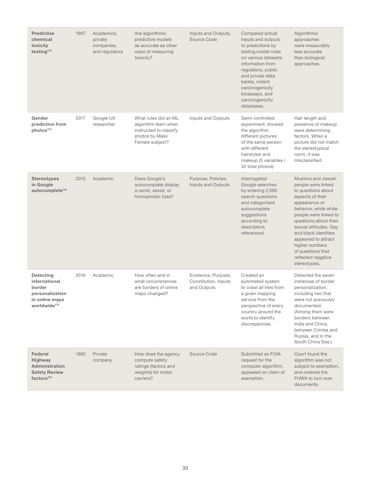| <b>Predictive</b><br>chemical<br>toxicity<br>testing <sup>172</sup>                                          | 1997 | Academics,<br>private<br>companies,<br>and regulators | Are algorithmic<br>predictive models<br>as accurate as other<br>ways of measuring<br>toxicity?               | Inputs and Outputs,<br>Source Code                         | Compared actual<br>inputs and outputs<br>to predictions by<br>testing model rules<br>on various datasets,<br>information from<br>regulators, public<br>and private data<br>banks, rodent<br>carcinogenicity<br>bioassays, and<br>carcinogenicity<br>databases. | Algorithmic<br>approaches<br>were measurably<br>less accurate<br>than biological<br>approaches.                                                                                                                                                                                                                                     |
|--------------------------------------------------------------------------------------------------------------|------|-------------------------------------------------------|--------------------------------------------------------------------------------------------------------------|------------------------------------------------------------|----------------------------------------------------------------------------------------------------------------------------------------------------------------------------------------------------------------------------------------------------------------|-------------------------------------------------------------------------------------------------------------------------------------------------------------------------------------------------------------------------------------------------------------------------------------------------------------------------------------|
| Gender<br>prediction from<br>photos <sup>173</sup>                                                           | 2017 | Google UX<br>researcher                               | What rules did an ML<br>algorithm learn when<br>instructed to classify<br>photos by Male/<br>Female subject? | Inputs and Outputs                                         | Semi-controlled<br>experiment: showed<br>the algorithm<br>different pictures<br>of the same person<br>with different<br>hairstyles and<br>makeup (5 variables /<br>32 total photos)                                                                            | Hair length and<br>presence of makeup<br>were determining<br>factors. When a<br>picture did not match<br>the stereotypical<br>norm, it was<br>misclassified.                                                                                                                                                                        |
| <b>Stereotypes</b><br>in Google<br>autocomplete <sup>174</sup>                                               | 2013 | Academic                                              | Does Google's<br>autocomplete display<br>a racist, sexist, or<br>homophobic bias?                            | Purpose, Policies,<br>Inputs and Outputs                   | Interrogated<br>Google searches<br>by entering 2,690<br>search questions<br>and categorized<br>autocomplete<br>suggestions<br>according to<br>descriptors<br>referenced.                                                                                       | Muslims and Jewish<br>people were linked<br>to questions about<br>aspects of their<br>appearance or<br>behavior, while white<br>people were linked to<br>questions about their<br>sexual attitudes. Gay<br>and black identities<br>appeared to attract<br>higher numbers<br>of questions that<br>reflected negative<br>stereotypes. |
| <b>Detecting</b><br>international<br>border<br>personalization<br>in online maps<br>worldwide <sup>175</sup> | 2016 | Academic                                              | How often and in<br>what circumstances<br>are borders of online<br>maps changed?                             | Existence, Purpose,<br>Constitution, Inputs<br>and Outputs | Created an<br>automated system<br>to crawl all tiles from<br>a given mapping<br>service from the<br>perspective of every<br>country around the<br>world to identify<br>discrepancies.                                                                          | Detected the seven<br>instances of border<br>personalization,<br>including two that<br>were not previously<br>documented.<br>(Among them were<br>borders between<br>India and China,<br>between Crimea and<br>Russia, and in the<br>South China Sea.)                                                                               |
| Federal<br><b>Highway</b><br><b>Administration</b><br><b>Safety Review</b><br>factors <sup>176</sup>         | 1992 | Private<br>company                                    | How does the agency<br>compute safety<br>ratings (factors and<br>weights) for motor<br>carriers?             | Source Code                                                | Submitted an FOIA<br>request for the<br>computer algorithm,<br>appealed on claim of<br>exemption.                                                                                                                                                              | Court found the<br>algorithm was not<br>subject to exemption,<br>and ordered the<br>FHWA to turn over<br>documents.                                                                                                                                                                                                                 |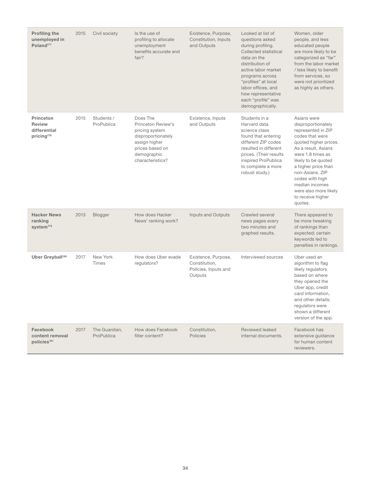| <b>Profiling the</b><br>unemployed in<br>Poland <sup>177</sup>       | 2015 | Civil society               | Is the use of<br>profiling to allocate<br>unemployment<br>benefits accurate and<br>fair?                                                      | Existence, Purpose,<br>Constitution, Inputs<br>and Outputs              | Looked at list of<br>questions asked<br>during profiling.<br><b>Collected statistical</b><br>data on the<br>distribution of<br>active labor market<br>programs across<br>"profiles" at local<br>labor offices, and<br>how representative<br>each "profile" was<br>demographically. | Women, older<br>people, and less<br>educated people<br>are more likely to be<br>categorized as "far"<br>from the labor market<br>/ less likely to benefit<br>from services, so<br>were not prioritized<br>as highly as others.                                                                                 |
|----------------------------------------------------------------------|------|-----------------------------|-----------------------------------------------------------------------------------------------------------------------------------------------|-------------------------------------------------------------------------|------------------------------------------------------------------------------------------------------------------------------------------------------------------------------------------------------------------------------------------------------------------------------------|----------------------------------------------------------------------------------------------------------------------------------------------------------------------------------------------------------------------------------------------------------------------------------------------------------------|
| Princeton<br><b>Review</b><br>differential<br>pricing <sup>178</sup> | 2015 | Students /<br>ProPublica    | Does The<br>Princeton Review's<br>pricing system<br>disproportionately<br>assign higher<br>prices based on<br>demographic<br>characteristics? | Existence, Inputs<br>and Outputs                                        | Students in a<br>Harvard data<br>science class<br>found that entering<br>different ZIP codes<br>resulted in different<br>prices. (Their results<br>inspired ProPublica<br>to complete a more<br>robust study.)                                                                     | Asians were<br>disproportionately<br>represented in ZIP<br>codes that were<br>quoted higher prices.<br>As a result. Asians<br>were 1.8 times as<br>likely to be quoted<br>a higher price than<br>non-Asians, ZIP<br>codes with high<br>median incomes<br>were also more likely<br>to receive higher<br>quotes. |
| <b>Hacker News</b><br>ranking<br>system <sup>179</sup>               | 2013 | <b>Blogger</b>              | How does Hacker<br>News' ranking work?                                                                                                        | Inputs and Outputs                                                      | Crawled several<br>news pages every<br>two minutes and<br>graphed results.                                                                                                                                                                                                         | There appeared to<br>be more tweaking<br>of rankings than<br>expected; certain<br>keywords led to<br>penalties in rankings.                                                                                                                                                                                    |
| Uber Greyball <sup>180</sup>                                         | 2017 | New York<br><b>Times</b>    | How does Uber evade<br>regulators?                                                                                                            | Existence, Purpose,<br>Constitution.<br>Policies, Inputs and<br>Outputs | Interviewed sources                                                                                                                                                                                                                                                                | Uber used an<br>algorithm to flag<br>likely regulators<br>based on where<br>they opened the<br>Uber app, credit<br>card information,<br>and other details;<br>regulators were<br>shown a different<br>version of the app.                                                                                      |
| Facebook<br>content removal<br>policies <sup>181</sup>               | 2017 | The Guardian,<br>ProPublica | How does Facebook<br>filter content?                                                                                                          | Constitution,<br><b>Policies</b>                                        | Reviewed leaked<br>internal documents.                                                                                                                                                                                                                                             | Facebook has<br>extensive guidance<br>for human content<br>reviewers.                                                                                                                                                                                                                                          |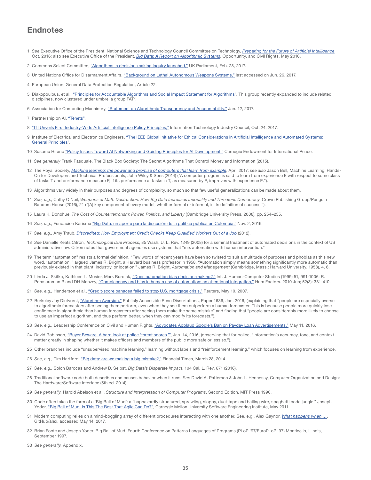# **Endnotes**

- 1 *See* Executive Office of the President, National Science and Technology Council Committee on Technology, *[Preparing for the Future of Artificial Intelligence](https://obamawhitehouse.archives.gov/sites/default/files/whitehouse_files/microsites/ostp/NSTC/preparing_for_the_future_of_ai.pdf)*, Oct. 2016; also see Executive Office of the President, *[Big Data: A Report on Algorithmic Systems](https://obamawhitehouse.archives.gov/sites/default/files/microsites/ostp/2016_0504_data_discrimination.pdf)*, Opportunity, and Civil Rights, May 2016.
- 2 Commons Select Committee, ["Algorithms in decision-making inquiry launched,"](http://www.parliament.uk/business/committees/committees-a-z/commons-select/science-and-technology-committee/news-parliament-2015/algorithms-in-decision-making-inquiry-launch-16-17) UK Parliament, Feb. 28, 2017.
- 3 United Nations Office for Disarmament Affairs, ["Background on Lethal Autonomous Weapons Systems,"](https://www.un.org/disarmament/geneva/ccw/background-on-lethal-autonomous-weapons-systems) last accessed on Jun. 26, 2017.
- 4 European Union, General Data Protection Regulation, Article 22.
- 5 Diakopoulous, et al., ["Principles for Accountable Algorithms and Social Impact Statement for Algorithms".](http://www.fatml.org/resources/principles-for-accountable-algorithms) This group recently expanded to include related disciplines, now clustered under umbrella group FAT\*.
- 6 Association for Computing Machinery, ["Statement on Algorithmic Transparency and Accountability,"](https://www.acm.org/binaries/content/assets/public-policy/2017_usacm_statement_algorithms.pdf) Jan. 12, 2017.
- 7 Partnership on AI, ["Tenets".](https://www.partnershiponai.org/tenets)
- 8 ["ITI Unveils First Industry-Wide Artificial Intelligence Policy Principles,"](https://www.itic.org/news-events/news-releases/iti-unveils-first-industry-wide-artificial-intelligence-policy-principles) Information Technology Industry Council, Oct. 24, 2017.
- 9 Institute of Electrical and Electronics Engineers, "The IEEE Global Initiative for Ethical Considerations in Artificial Intelligence and Automated Systems: [General Principles"](http://standards.ieee.org/develop/indconn/ec/ead_general_principles.pdf).
- 10 Susumu Hirano ["Policy Issues Toward AI Networking and Guiding Principles for AI Development,"](http://carnegieendowment.org/2017/01/12/policy-issues-toward-ai-networking-and-guiding-principles-for-ai-development-pub-68312) Carnegie Endowment for International Peace.
- 11 *See generally* Frank Pasquale, The Black Box Society: The Secret Algorithms That Control Money and Information (2015).
- 12 The Royal Society, *[Machine learning: the power and promise of computers that learn from example](https://royalsociety.org/~/media/policy/projects/machine-learning/publications/machine-learning-report.pdf)*, April 2017; *see also* Jason Bell, Machine Learning: Hands-On for Developers and Technical Professionals, John Wiley & Sons (2014) ("A computer program is said to learn from experience E with respect to some class of tasks T and performance measure P, if its performance at tasks in T, as measured by P, improves with experience E.").
- 13 Algorithms vary widely in their purposes and degrees of complexity, so much so that few useful generalizations can be made about them.
- 14 *See, e.g.,* Cathy O'Neil, *Weapons of Math Destruction: How Big Data Increases Inequality and Threatens Democracy*, Crown Publishing Group/Penguin Random House (2016), 21 ("[A] key component of every model, whether formal or informal, is its definition of success.").
- 15 Laura K. Donohue, *The Cost of Counterterrorism: Power, Politics, and Liberty* (Cambridge University Press, 2008), pp. 254–255.
- 16 *See, e.g.,* Fundacion Karisma ["Big Data: un aporte para la discusión de la política pública en Colombia,"](https://karisma.org.co/big-data-un-aporte-para-la-discusion-de-la-politica-publica-en-colombia/) Nov. 2, 2016.
- 17 *See, e.g.,* Amy Traub, *[Discredited: How Employment Credit Checks Keep Qualified Workers Out of a Job](http://www.demos.org/discredited-how-employment-credit-checks-keep-qualified-workers-out-job)* (2012).
- 18 *See* Danielle Keats Citron, *Technological Due Process*, 85 Wash. U. L. Rev. 1249 (2008) for a seminal treatment of automated decisions in the context of US administrative law. Citron notes that government agencies use systems that "mix automation with human intervention."
- 19 The term "automation" resists a formal definition. "Few words of recent years have been so twisted to suit a multitude of purposes and phobias as this new word, 'automation,'" argued James R. Bright, a Harvard business professor in 1958. "Automation simply means something significantly more automatic than previously existed in that plant, industry, or location." James R. Bright, *Automation and Management* (Cambridge, Mass.: Harvard University, 1958), 4, 6.
- 20 Linda J. Skitka, Kathleen L. Mosier, Mark Burdick, ["Does automation bias decision-making?,"](http://lskitka.people.uic.edu/AutomationBias.pdf) Int. J. Human-Computer Studies (1999) 51, 991-1006; R. Parasuraman R and DH Manzey, ["Complacency and bias in human use of automation: an attentional integration,"](https://www.ncbi.nlm.nih.gov/pubmed/21077562) Hum Factors. 2010 Jun; 52(3): 381-410.
- 21 *See, e.g.,* Henderson et al., ["Credit-score panacea failed to stop U.S. mortgage crisis,"](http://www.reuters.com/article/us-usa-subprime-scores-idUSN0231191820070510) Reuters, May 10, 2007.
- 22 Berkeley Jay Dietvorst, ["Algorithm Aversion,"](http://repository.upenn.edu/cgi/viewcontent.cgi?article=3472&context=edissertations) Publicly Accessible Penn Dissertations, Paper 1686, Jan. 2016, (explaining that "people are especially averse to algorithmic forecasters after seeing them perform, even when they see them outperform a human forecaster. This is because people more quickly lose confidence in algorithmic than human forecasters after seeing them make the same mistake" and finding that "people are considerably more likely to choose to use an imperfect algorithm, and thus perform better, when they can modify its forecasts.").
- 23 *See, e.g.,* Leadership Conference on Civil and Human Rights, ["Advocates Applaud Google's Ban on Payday Loan Advertisements,"](http://civilrights.org/advocates-applaud-googles-ban-on-payday-loan-advertisements/) May 11, 2016.
- 24 David Robinson, "Buyer Beware: A hard look at police 'threat scores.", Jan. 14, 2016, (observing that for police, "information's accuracy, tone, and context matter greatly in shaping whether it makes officers and members of the public more safe or less so.").
- 25 Other branches include "unsupervised machine learning," learning without labels and "reinforcement learning," which focuses on learning from experience.
- 26 *See, e.g.,* Tim Hartford, ["Big data: are we making a big mistake?,"](https://www.ft.com/content/21a6e7d8-b479-11e3-a09a-00144feabdc0?mhq5j=e1) Financial Times, March 28, 2014.
- 27 *See, e.g.,* Solon Barocas and Andrew D. Selbst, *Big Data's Disparate Impact*, 104 Cal. L. Rev. 671 (2016).
- 28 Traditional software code both describes and causes behavior when it runs. *See* David A. Patterson & John L. Hennessy, Computer Organization and Design: The Hardware/Software Interface (5th ed. 2014).
- 29 *See generally,* Harold Abelson et al., *Structure and Interpretation of Computer Programs*, Second Edition, MIT Press 1996.
- 30 Code often takes the form of a 'Big Ball of Mud': a "haphazardly structured, sprawling, sloppy, duct-tape and bailing wire, spaghetti code jungle." Joseph Yoder, ["Big Ball of Mud: Is This The Best That Agile Can Do?",](http://resources.sei.cmu.edu/library/asset-view.cfm?assetid=22106) Carnegie Mellon University Software Engineering Institute, May 2011.
- 31 Modern computing relies on a mind-boggling array of different procedures interacting with one another. See, e.g., Alex Gaynor, *[What happens when …](https://github.com/alex/what-happens-when)*, GitHub/alex, accessed May 14, 2017.
- 32 Brian Foote and Joseph Yoder, Big Ball of Mud. Fourth Conference on Patterns Languages of Programs (PLoP '97/EuroPLoP '97) Monticello, Illinois, September 1997.
- 33 *See generally,* Appendix.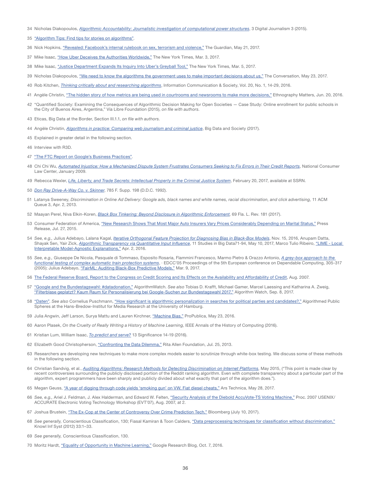- 34 Nicholas Diakopoulos, *[Algorithmic Accountability: Journalistic investigation of computational power structures](http://www.tandfonline.com/doi/full/10.1080/21670811.2014.976411)*, 3 Digital Journalism 3 (2015).
- 35 ["Algorithm Tips: Find tips for stories on algorithms"](http://algorithmtips.org/).
- 36 Nick Hopkins, ["Revealed: Facebook's internal rulebook on sex, terrorism and violence,"](https://www.theguardian.com/news/2017/may/21/revealed-facebook-internal-rulebook-sex-terrorism-violence) The Guardian, May 21, 2017.
- 37 Mike Isaac, ["How Uber Deceives the Authorities Worldwide,"](https://www.nytimes.com/2017/03/03/technology/uber-greyball-program-evade-authorities.html) The New York Times, Mar. 3, 2017.
- 38 Mike Isaac, ["Justice Department Expands Its Inquiry Into Uber's Greyball Tool,"](https://www.nytimes.com/2017/05/05/technology/uber-greyball-investigation-expands.html) The New York Times, Mar. 5, 2017.
- 39 Nicholas Diakopoulos, ["We need to know the algorithms the government uses to make important decisions about us,"](https://theconversation.com/we-need-to-know-the-algorithms-the-government-uses-to-make-important-decisions-about-us-57869) The Conversation, May 23, 2017.
- 40 Rob Kitchen, *[Thinking critically about and researching algorithms](http://futuredata.stanford.edu/classes/cs345s/handouts/kitchin.pdf)*, Information Communication & Society, Vol. 20, No. 1, 14-29, 2016.
- 41 Angèle Christin, ["The hidden story of how metrics are being used in courtrooms and newsrooms to make more decisions,"](http://ethnographymatters.net/blog/2016/06/20/the-hidden-story-of-how-metrics-are-being-used-in-courtrooms-and-newsrooms-to-make-more-decisions; Rob Kitchen, Thinking critically about and researching algorithms, Information Communication & Society, Vol. 20, No. 1, 14-29, 2016, available at http://futuredata.stanford.edu/classes/cs345s/handouts/kitchin.pdf) Ethnography Matters, Jun. 20, 2016.
- 42 "Quantified Society: Examining the Consequences of Algorithmic Decision Making for Open Societies Case Study: Online enrollment for public schools in the City of Buenos Aires, Argentina," Vía Libre Foundation (2015), *on file with authors.*
- 43 Eticas, Big Data at the Border, Section III.1.1, *on file with authors.*
- 44 Angèle Christin, *[Algorithms in practice: Comparing web journalism and criminal justice](http://journals.sagepub.com/doi/pdf/10.1177/2053951717718855)*, Big Data and Society (2017).
- 45 Explained in greater detail in the following section.
- 46 Interview with R3D.
- 47 ["The FTC Report on Google's Business Practices"](http://graphics.wsj.com/google-ftc-report).
- 48 Chi Chi Wu, *[Automated Injustice: How a Mechanized Dispute System Frustrates Consumers Seeking to Fix Errors in Their Credit Reports](https://www.nclc.org/images/pdf/pr-reports/report-automated_injustice.pdf)*, National Consumer Law Center, January 2009.
- 49 Rebecca Wexler, *[Life, Liberty, and Trade Secrets: Intellectual Property in the Criminal Justice System](https://ssrn.com/abstract=2920883)*, February 20, 2017, available at SSRN.
- 50 *[Don Ray Drive-A-Way Co. v. Skinner](http://law.justia.com/cases/federal/district-courts/FSupp/785/198/2144490)*, 785 F. Supp. 198 (D.D.C. 1992).
- 51 Latanya Sweeney, *Discrimination in Online Ad Delivery: Google ads, black names and white names, racial discrimination, and click advertising,* 11 ACM Queue 3, Apr. 2, 2013.
- 52 Maayan Perel, Niva Elkin-Koren, *[Black Box Tinkering: Beyond Disclosure in Algorithmic Enforcement](http://www.floridalawreview.com/2017/black-box-tinkering-beyond-disclosure-algorithmic-enforcement/)*, 69 Fla. L. Rev. 181 (2017).
- 53 Consumer Federation of America, ["New Research Shows That Most Major Auto Insurers Vary Prices Considerably Depending on Marital Status,"](http://consumerfed.org/press_release/new-research-shows-that-most-major-auto-insurers-vary-prices-considerably-depending-on-marital-status/) Press Release, Jul. 27, 2015.
- 54 *See, e.g.,* Julius Adebayo, Lalana Kagal, *[Iterative Orthogonal Feature Projection for Diagnosing Bias in Black-Box Models](https://arxiv.org/abs/1611.04967)*, Nov. 15, 2016, Anupam Datta, Shayak Sen, Yair Zick, *[Algorithmic Transparency via Quantitative Input Influence](https://www.andrew.cmu.edu/user/danupam/datta-sen-zick-oakland16.pdf)*, 11 Studies in Big Data71-94, May 10, 2017, Marco Tulio Ribeiro, ["LIME - Local](https://homes.cs.washington.edu/~marcotcr/blog/lime/)  [Interpretable Model-Agnostic Explanations,"](https://homes.cs.washington.edu/~marcotcr/blog/lime/) Apr. 2, 2016.
- 55 *See, e.g.,* Giuseppe De Nicola, Pasquale di Tommaso, Esposito Rosaria, Flammini Francesco, Marmo Pietro & Orazzo Antonio, *[A grey-box approach to the](http://dl.acm.org/citation.cfm?id=2154242)  [functional testing of complex automatic train protection systems](http://dl.acm.org/citation.cfm?id=2154242)*, · EDCC'05 Proceedings of the 5th European conference on Dependable Computing, 305-317 (2005); Julius Adebayo, ["FairML: Auditing Black-Box Predictive Models,"](http://blog.fastforwardlabs.com/2017/03/09/fairml-auditing-black-box-predictive-models.html) Mar. 9, 2017.
- 56 [The Federal Reserve Board, Report to the Congress on Credit Scoring and Its Effects on the Availability and Affordability of Credit,](https://www.federalreserve.gov/boarddocs/rptcongress/creditscore/) Aug. 2007.
- 57 ["Google and the Bundestagswahl: #datadonation,"](https://datenspende.algorithmwatch.org/en) AlgorithmWatch. *See also* Tobias D. Krafft, Michael Gamer, Marcel Laessing and Katharina A. Zweig, ["Filterblase geplatzt? Kaum Raum für Personalisierung bei Google-Suchen zur Bundestagswahl 2017,"](https://algorithmwatch.org/de/filterblase-geplatzt-kaum-raum-fuer-personalisierung-bei-google-suchen-zur-bundestagswahl-2017) Algorithm Watch, Sep. 8, 2017.
- 58 ["Daten"](https://datenspende.algorithmwatch.org/data.html). *See also* Cornelius Puschmann, ["How significant is algorithmic personalization in searches for political parties and candidates?,"](https://aps.hans-bredow-institut.de/personalization-google) Algorithmed Public Spheres at the Hans-Bredow-Institut for Media Research at the University of Hamburg.
- 59 Julia Angwin, Jeff Larson, Surya Mattu and Lauren Kirchner, ["Machine Bias,"](https://www.propublica.org/article/machine-bias-risk-assessments-in-criminal-sentencing) ProPublica, May 23, 2016.
- 60 Aaron Plasek, *On the Cruelty of Really Writing a History of Machine Learning,* IEEE Annals of the History of Computing (2016).
- 61 Kristian Lum, William Isaac, *[To predict and serve?](http://onlinelibrary.wiley.com/doi/10.1111/j.1740-9713.2016.00960.x/full)* 13 Significance 14-19 (2016).
- 62 Elizabeth Good Christopherson, ["Confronting the Data Dilemma,"](http://ritaallen.org/blog/confronting-the-data-dilemma/) Rita Allen Foundation, Jul. 25, 2013.
- 63 Researchers are developing new techniques to make more complex models easier to scrutinize through white-box testing. We discuss some of these methods in the following section.
- 64 Christian Sandvig, et al., *[Auditing Algorithms: Research Methods for Detecting Discrimination on Internet Platforms](http://www-personal.umich.edu/~csandvig/research/Auditing%20Algorithms%20--%20Sandvig%20--%20ICA%202014%20Data%20and%20Discrimination%20Preconference.pdf)*, May 2015, ("This point is made clear by recent controversies surrounding the publicly disclosed portion of the Reddit ranking algorithm. Even with complete transparency about a particular part of the algorithm, expert programmers have been sharply and publicly divided about what exactly that part of the algorithm does.").
- 65 Megan Geuss, ["A year of digging through code yields 'smoking gun' on VW, Fiat diesel cheats,"](https://arstechnica.com/cars/2017/05/volkswagen-bosch-fiat-diesel-emissions-cheats-cracked-open-in-new-research/) Ars Technica, May 28, 2017.
- 66 See, e.g., Ariel J. Feldman, J. Alex Halderman, and Edward W. Felten, ["Security Analysis of the Diebold AccuVote-TS Voting Machine,"](https://s3.amazonaws.com/citpsite/publications/ts06full.pdf) Proc. 2007 USENIX/ ACCURATE Electronic Voting Technology Workshop (EVT'07), Aug. 2007, at 2.
- 67 Joshua Brustein, ["The Ex-Cop at the Center of Controversy Over Crime Prediction Tech,"](https://www.bloomberg.com/news/features/2017-07-10/the-ex-cop-at-the-center-of-controversy-over-crime-prediction-tech) Bloomberg (July 10, 2017).
- 68 See generally, Conscientious Classification, 130; Fiasal Kamiran & Toon Calders, ["Data preprocessing techniques for classification without discrimination,"](https://link.springer.com/content/pdf/10.1007%2Fs10115-011-0463-8.pdf) Knowl Inf Syst (2012) 33:1–33.
- 69 *See generally,* Conscientious Classification, 130.
- 70 Moritz Hardt, ["Equality of Opportunity in Machine Learning,"](https://research.googleblog.com/2016/10/equality-of-opportunity-in-machine.html) Google Research Blog, Oct. 7, 2016.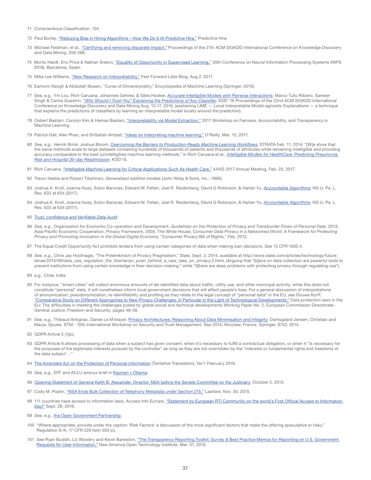- 71 Conscientious Classification, 124.
- 72 Paul Burley, "Reducing Bias in Hiring Algorithms How We Do It At Predictive Hire," Predictive Hire.
- 73 Michael Feldman, et al., ["Certifying and removing disparate impact,"](https://arxiv.org/pdf/1412.3756.pdf) Proceedings of the 21th ACM SIGKDD International Conference on Knowledge Discovery and Data Mining, 259-268.
- 74 Moritz Hardt, Eric Price & Nathan Srebro, ["Equality of Opportunity in Supervised Learning,"](http://papers.nips.cc/paper/6374-equality-of-opportunity-in-supervised-learning.pdf) 30th Conference on Neural Information Processing Systems (NIPS 2016), Barcelona, Spain.
- 75 Mike Lee Williams, ["New Research on Interpretability,"](http://blog.fastforwardlabs.com/2017/08/02/interpretability.html) Fast Forward Labs Blog, Aug 2. 2017.
- 76 Eamonn Keogh & Abdullah Mueen, "Curse of Dimensionality," Encyclopedia of Machine Learning (Springer, 2010).
- 77 *See, e.g.,* Yin Lou, Rich Caruana, Johannes Gehrke, & Giles Hooker, *[Accurate Intelligible Models with Pairwise Interactions](http://www.cs.cornell.edu/~yinlou/papers/lou-kdd13.pdf)*; Marco Tulio Ribiero, Sameer Singh & Carlos Guestrin, "*[Why Should I Trust You" Explaining the Predictions of Any Classifier](https://arxiv.org/pdf/1602.04938v1.pdf)*, KDD '16 Proceedings of the 22nd ACM SIGKDD International Conference on Knowledge Discovery and Data Mining Aug. 13-17, 2016, (explaining LIME — Local Interpretable Model-agnostic Explanations — a technique that explains the predictions of classifiers by learning an interpretable model locally around the prediction).
- 78 Osbert Bastani, Carolyn Kim & Hamsa Bastani, ["Interpretability via Model Extraction,"](https://arxiv.org/pdf/1706.09773.pdf) 2017 Workshop on Fairness, Accountability, and Transparency in Machine Learning.
- 79 Patrick Hall, Wen Phan, and SriSatish Ambati, ["Ideas on interpreting machine learning,"](https://www.oreilly.com/ideas/ideas-on-interpreting-machine-learning) O'Reilly, Mar. 15, 2017.
- 80 *See, e.g.,* Henrik Brink, Joshua Bloom, *[Overcoming the Barriers to Production-Ready Machine Learning Workflows](https://conferences.oreilly.com/strata/strata2014/public/schedule/detail/32314)*, STRATA Feb. 11, 2014; "[W]e show that the same methods scale to large datasets containing hundreds of thousands of patients and thousands of attributes while remaining intelligible and providing accuracy comparable to the best (unintelligible) machine learning methods," in Rich Caruana et al., *[Intelligible Models for HealthCare: Predicting Pneumonia](http://people.dbmi.columbia.edu/noemie/papers/15kdd.pdf)  [Risk and Hospital 30-day Readmission](http://people.dbmi.columbia.edu/noemie/papers/15kdd.pdf)*, KDD'15.
- 81 Rich Caruana, ["Intelligible Machine Learning for Critical Applications Such As Health Care,"](https://aaas.confex.com/aaas/2017/webprogram/Paper19142.html) AAAS 2017 Annual Meeting, Feb. 20, 2017.
- 82 Trevor Hastie and Robert Tibshirani, *Generalized additive models* (John Wiley & Sons, Inc.: 1990).
- 83 Joshua A. Kroll, Joanna Huey, Solon Barocas, Edward W. Felten, Joel R. Reidenberg, David G Robinson, & Harlan Yu, *[Accountable Algorithms](https://www.pennlawreview.com/print/?id=553)* 165 U. Pa. L. Rev. 633 at 634 (2017).
- 84 Joshua A. Kroll, Joanna Huey, Solon Barocas, Edward W. Felten, Joel R. Reidenberg, David G Robinson, & Harlan Yu, *[Accountable Algorithms](https://www.pennlawreview.com/print/?id=553)* 165 U. Pa. L. Rev. 633 at 634 (2017).

#### 85 *[Trust, confidence and Verifiable Data Audit](https://deepmind.com/blog/trust-confidence-verifiable-data-audit/)*.

- 86 See, e.g., Organisation for Economic Co-operation and Development, Guidelines on the Protection of Privacy and Transborder Flows of Personal Data, 2013; Asia-Pacific Economic Cooperation, *Privacy Framework,* 2005; The White House, *Consumer Data Privacy in a Networked World: A Framework for Protecting Privacy and Promoting Innovation in the Global Digital Economy,* "Consumer Privacy Bill of Rights," Feb. 2012.
- 87 The Equal Credit Opportunity Act prohibits lenders from using certain categories of data when making loan decisions. *See* 12 CFR 1002.4.
- 88 See, e.g., Chris Jay Hoofnagle, "The Potemkinism of Privacy Pragmatism," Slate, Sept. 2, 2014, available at http://www.slate.com/articles/technology/future\_ tense/2014/09/data\_use\_regulation\_the\_libertarian\_push\_behind\_a\_new\_take\_on\_privacy.2.html, (Arguing that "[b]ans on data collection are powerful tools to prevent institutions from using certain knowledge in their decision-making," while "[t]here are deep problems with protecting privacy through regulating use").
- 89 *e.g.,* Chile, India
- 90 For instance, "smart cities" will collect enormous amounts of de-identified data about traffic, utility use, and other municipal activity; while this does not constitute "personal" data, it will nonetheless inform local government decisions that will affect people's lives. For a general discussion of interpretations of anonymization, pseudonymization, re-identifiability and profiling as they relate to the legal concept of "personal data" in the EU, see Douwe Korff, ["Comparative Study on Different Approaches to New Privacy Challenges, in Particular in the Light of Technological Developments,"](http://ec.europa.eu/justice/policies/privacy/docs/studies/new_privacy_challenges/final_report_working_paper_2_en.pdf) Data protection laws in the EU: The difficulties in meeting the challenges posed by global social and technical developments Working Paper No. 2, European Commission Directorate-General Justice, Freedom and Security, pages 48-58.
- 91 See, e.g., Thibaud Antignac, Daniel Le M'etayer. [Privacy Architectures: Reasoning About Data Minimisation and Integrity.](https://hal.inria.fr/hal-01054758/document) Damsgaard Jensen, Christian and Mauw, Sjouke. STM - 10th International Workshop on Security and Trust Management, Sep 2014, Wroclaw, France. Springer, 8743, 2014.
- 92 GDPR Article 5 (1)(c).
- 93 GDPR Article 6 allows processing of data when a subject has given consent, when it's necessary to fulfill a contractual obligation, or when it "is necessary for the purposes of the legitimate interests pursued by the controller" as long as they are not overridden by the "interests or fundamental rights and freedoms of the data subject ...
- 94 [The Amended Act on the Protection of Personal Information](https://www.ppc.go.jp/files/pdf/280222_amendedlaw.pdf) (Tentative Translation), Ver.1 February 2016.
- 95 *See, e.g.,* EFF and ACLU amicus brief in *[Kayman v Obama](https://www.eff.org/document/eff-and-aclu-amicus-brief-klayman)*.
- 96 [Opening Statement of General Keith B. Alexander, Director, NSA before the Senate Committee on the Judiciary,](https://www.judiciary.senate.gov/imo/media/doc/10-2-13AlexanderTestimony.pdf) October 2, 2013.
- 97 Cody M. Poplin, ["NSA Ends Bulk Collection of Telephony Metadata under Section 215,"](https://www.lawfareblog.com/nsa-ends-bulk-collection-telephony-metadata-under-section-215) Lawfare, Nov. 30, 2015.
- 98 111 countries have access to information laws. Access Info Europe, "Statement by European RTI Community on the world's First Official Access to Information [Day!"](https://www.access-info.org/frontpage/26216) Sept. 28, 2016.
- 99 *See, e.g.,* [the Open Government Partnership](https://www.opengovpartnership.org).
- 100 "Where appropriate, provide under the caption 'Risk Factors' a discussion of the most significant factors that make the offering speculative or risky." Regulation S-K, 17 CFR 229 Item 503 (c).
- 101 *See* Ryan Budish, Liz Woolery and Kevin Bankston, ["The Transparency Reporting Toolkit: Survey & Best Practice Memos for Reporting on U.S. Government](https://www.newamerica.org/oti/policy-papers/the-transparency-reporting-toolkit)  [Requests for User Information,"](https://www.newamerica.org/oti/policy-papers/the-transparency-reporting-toolkit) New America Open Technology Institute, Mar. 31, 2016.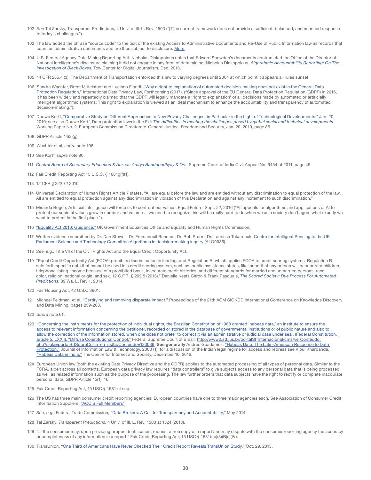- 102 *See* Tal Zarsky, Transparent Predictions, 4 Univ. of Ill. L. Rev. 1503 ("[T]he current framework does not provide a sufficient, balanced, and nuanced response to today's challenges.").
- 103 The law added the phrase "source code" to the text of the existing Access to Administrative Documents and Re-Use of Public Information law as records that count as administrative documents and are thus subject to disclosure. [More](http://www.republique-numerique.fr/pages/in-english).
- 104 U.S. Federal Agency Data Mining Reporting Act. Nicholas Diakopolous notes that Edward Snowden's documents contradicted the Office of the Director of National Intelligence's disclosure claiming it did not engage in any form of data mining. Nicholas Diakopolous, *[Algorithmic Accountability Reporting: On The](http://towcenter.org/wp-content/uploads/2014/02/78524_Tow-Center-Report-WEB-1.pdf)  [Investigation of Black Boxes](http://towcenter.org/wp-content/uploads/2014/02/78524_Tow-Center-Report-WEB-1.pdf)*, Tow Center for Digital Journalism, Dec. 2013.
- 105 14 CFR 255.4 (3). The Department of Transportation enforced this law to varying degrees until 2004 at which point it appears all rules sunset.
- 106 Sandra Wachter, Brent Mittelstadt and Luciano Floridi, "Why a right to explanation of automated decision-making does not exist in the General Data [Protection Regulation,"](https://papers.ssrn.com/sol3/papers.cfm?abstract_id=2903469) International Data Privacy Law, Forthcoming (2017). ("Since approval of the EU General Data Protection Regulation (GDPR) in 2016, it has been widely and repeatedly claimed that the GDPR will legally mandate a 'right to explanation' of all decisions made by automated or artificially intelligent algorithmic systems. This right to explanation is viewed as an ideal mechanism to enhance the accountability and transparency of automated decision-making.").
- 107 Douwe Korff, ["Comparative Study on Different Approaches to New Privacy Challenges, in Particular in the Light of Technological Developments,"](http://ec.europa.eu/justice/data-protection/document/studies/files/new_privacy_challenges/final_report_en.pdf) Jan. 20, 2010; see also Douwe Korff, Data protection laws in the EU: *[The difficulties in meeting the challenges posed by global social and technical developments](http://ec.europa.eu/justice/policies/privacy/docs/studies/new_privacy_challenges/final_report_working_paper_2_en.pdf)* Working Paper No. 2, European Commission Directorate-General Justice, Freedom and Security, Jan. 20, 2010, page 86.
- 108 GDPR Article 14(2)(g).
- 109 Wachter et al, *supra* note 106.
- 110 See Korff, *supra* note 90.
- 111 *[Central Board of Secondary Education & Anr. vs. Aditya Bandopadhyay & Ors](http://cic.gov.in/sites/default/files/court%20orders/CBSEAndAnr-Vs-AdityaAndOrs.pdf)*, Supreme Court of India Civil Appeal No. 6454 of 2011, page 49.
- 112 Fair Credit Reporting Act 15 U.S.C. § 1681g(f)(1).
- 113 12 CFR § 222.72 2010.
- 114 Universal Declaration of Human Rights Article 7 states, "All are equal before the law and are entitled without any discrimination to equal protection of the law. All are entitled to equal protection against any discrimination in violation of this Declaration and against any incitement to such discrimination."
- 115 Miranda Bogen, Artificial intelligence will force us to confront our values, Equal Future, Sept. 22, 2016 ("As appeals for algorithms and applications of AI to protect our societal values grow in number and volume ... we need to recognize this will be really hard to do when we as a society don't agree what exactly we want to protect in the first place.").
- 116 ["Equality Act 2010: Guidance,"](https://www.gov.uk/guidance/equality-act-2010-guidance#public-sector-equality-duty) UK Government Equalities Office and Equality and Human Rights Commission.
- 117 Written evidence submitted by Dr. Dan Stowell, Dr. Emmanouil Benetos, Dr. Bob Sturm, Dr. Laurissa Tokarchuk, Centre for Intelligent Sensing to the UK [Parliament Science and Technology Committee Algorithms in decision-making inquiry](http://data.parliament.uk/writtenevidence/committeeevidence.svc/evidencedocument/science-and-technology-committee/algorithms-in-decisionmaking/written/69040.html) (ALG0036).
- 118 *See, e.g.,* Title VII of the Civil Rights Act and the Equal Credit Opportunity Act.
- 119 "Equal Credit Opportunity Act (ECOA) prohibits discrimination in lending, and Regulation B, which applies ECOA to credit scoring systems. Regulation B sets forth specific data that cannot be used in a credit scoring system, such as: public assistance status, likelihood that any person will bear or rear children, telephone listing, income because of a prohibited basis, inaccurate credit histories, and different standards for married and unmarried persons, race, color, religion, national origin, and sex. 12 C.F.R. § 202.5 (2013)." Danielle Keats Citron & Frank Pasquale, *[The Scored Society: Due Process For Automated](https://digital.law.washington.edu/dspace-law/bitstream/handle/1773.1/1318/89WLR0001.pdf)  [Predictions](https://digital.law.washington.edu/dspace-law/bitstream/handle/1773.1/1318/89WLR0001.pdf)*, 89 Wa. L. Rev 1, 2014.
- 120 Fair Housing Act, 42 U.S.C 3601.
- 121 Michael Feldman, et al, ["Certifying and removing disparate impact,"](https://arxiv.org/pdf/1412.3756.pdf) Proceedings of the 21th ACM SIGKDD International Conference on Knowledge Discovery and Data Mining, pages 259-268.
- 122 *Supra* note 61.
- 123 "Concerning the instruments for the protection of individual rights, the Brazilian Constitution of 1988 granted 'habeas data,' an institute to ensure the [access to relevant information concerning the petitioner, recorded or stored in the database of governmental institutions or of public nature and also to](http://english.tse.jus.br/arquivos/federal-constitution)  allow the correction of the information stored, when one does not prefer to correct it via an administrative or judicial case under seal. (Federal Constitution, [article 5, LXXII\), "Diffuse Constitutional Control,"](http://english.tse.jus.br/arquivos/federal-constitution) Federal Supreme Court of Brazil; [http://www2.stf.jus.br/portalStfInternacional/cms/verConteudo.](http://www2.stf.jus.br/portalStfInternacional/cms/verConteudo.php?sigla=portalStfSobreCorte_en_us&idConteudo=123036) [php?sigla=portalStfSobreCorte\\_en\\_us&idConteudo=123036.](http://www2.stf.jus.br/portalStfInternacional/cms/verConteudo.php?sigla=portalStfSobreCorte_en_us&idConteudo=123036) See generally Andrés Guadamuz, "Habeas Data: The Latin-American Response to Data [Protection,"](http://www2.warwick.ac.uk/fac/soc/law/elj/jilt/2000_2/guadamuz) Journal of Information Law & Technology, 2000 (1); for a discussion of the Indian legal regime for access and redress see Vipul Kharbanda, ["Habeas Data in India,"](http://cis-india.org/internet-governance/blog/habeas-data-in-india) The Centre for Internet and Society, December 10, 2016.
- 124 European Union law (both the existing Data Privacy Directive and the GDPR) applies to the automated processing of all types of personal data. Similar to the FCRA, albeit across all contexts, European data privacy law requires "data controllers" to give subjects access to any personal data that is being processed, as well as related information such as the purpose of the processing. The law further orders that data subjects have the right to rectify or complete inaccurate personal data. GDPR Article 15(1), 16.
- 125 Fair Credit Reporting Act, 15 USC § 1681 et seq.
- 126 The US has three main consumer credit reporting agencies; European countries have one to three major agencies each. *See* Association of Consumer Credit Information Suppliers, ["ACCIS Full Members"](http://www.accis.eu/membership/list-of-full-members.html).
- 127 *See, e.g.*, Federal Trade Commission, "[Data Brokers: A Call for Transparency and Accountability,"](https://www.ftc.gov/system/files/documents/reports/data-brokers-call-transparency-accountability-report-federal-trade-commission-may-2014/140527databrokerreport.pdf) May 2014.
- 128 Tal Zarsky, *Transparent Predictions*, 4 Univ. of Ill. L. Rev. 1503 at 1524 (2013).
- 129 "... the consumer may, upon providing proper identification, request a free copy of a report and may dispute with the consumer reporting agency the accuracy or completeness of any information in a report." Fair Credit Reporting Act, 15 USC § 1681b(b)(3)(B)(i)(IV).
- 130 TransUnion, ["One Third of Americans Have Never Checked Their Credit Report Reveals TransUnion Study,"](http://newsroom.transunion.com/one-third-of-americans-have-never-checked-their-credit-report-reveals-transunion-study/) Oct. 29. 2013.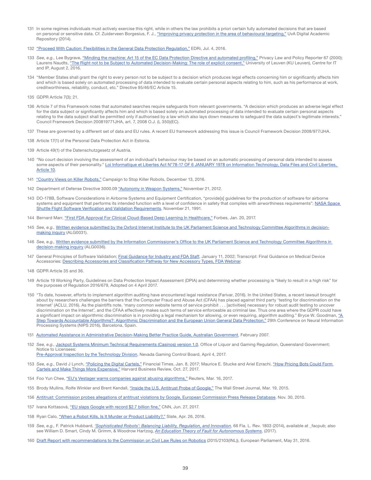- 131 In some regimes individuals must actively exercise this right, while in others the law prohibits a priori certain fully automated decisions that are based on personal or sensitive data. Cf. Zuiderveen Borgesius, F. J., ["Improving privacy protection in the area of behavioural targeting,"](https://pure.uva.nl/ws/files/2141334/154452_10.pdf) UvA Digital Academic Repository (2014).
- 132 ["Proceed With Caution: Flexibilities in the General Data Protection Regulation,"](https://edri.org/files/GDPR_analysis/EDRi_analysis_gdpr_flexibilities.pdf) EDRi, Jul. 4, 2016.
- 133 *See, e.g.,* Lee Bygrave, ["Minding the machine: Art 15 of the EC Data Protection Directive and automated profiling,"](http://www5.austlii.edu.au/au/journals/PrivLawPRpr/2000/40.html) Privacy Law and Policy Reporter 67 (2000); Laurens Naudts, ["The Right not to be Subject to Automated Decision-Making: The role of explicit consent,"](https://www.law.kuleuven.be/citip/blog/the-right-not-to-be-subject-to-automated-decision-making-the-role-of-explicit-consent) University of Leuven (KU Leuven), Centre for IT and IP, August 2, 2016.
- 134 "Member States shall grant the right to every person not to be subject to a decision which produces legal effects concerning him or significantly affects him and which is based solely on automated processing of data intended to evaluate certain personal aspects relating to him, such as his performance at work, creditworthiness, reliability, conduct, etc." Directive 95/46/EC Article 15.
- 135 GDPR Article 7(3); 21.
- 136 Article 7 of this Framework notes that automated searches require safeguards from relevant governments. "A decision which produces an adverse legal effect for the data subject or significantly affects him and which is based solely on automated processing of data intended to evaluate certain personal aspects relating to the data subject shall be permitted only if authorised by a law which also lays down measures to safeguard the data subject's legitimate interests." Council Framework Decision 200819771JHA, art. 7, 2008 O.J. (L 350)(EC).
- 137 These are governed by a different set of data and EU rules. A recent EU framework addressing this issue is Council Framework Decision 2008/977/JHA.
- 138 Article 17(1) of the Personal Data Protection Act in Estonia.
- 139 Article 49(1) of the Datenschutzgesetz of Austria.
- 140 "No court decision involving the assessment of an individual's behaviour may be based on an automatic processing of personal data intended to assess some aspects of their personality." Loi Informatique et Libertes Act N°78-17 OF 6 JANUARY 1978 on Information Technology, Data Files and Civil Liberties, [Article 10.](https://www.cnil.fr/sites/default/files/typo/document/Act78-17VA.pdf)
- 141 ["Country Views on Killer Robots,"](http://www.stopkillerrobots.org/wp-content/uploads/2013/03/KRC_CountryViews_13Dec2016.pdf) Campaign to Stop Killer Robots, December 13, 2016.
- 142 Department of Defense Directive 3000.09 ["Autonomy in Weapon Systems,"](http://www.dtic.mil/whs/directives/corres/pdf/300009p.pdf) November 21, 2012.
- 143 DO-178B, Software Considerations in Airborne Systems and Equipment Certification, "provide[s] guidelines for the production of software for airborne systems and equipment that performs its intended function with a level of confidence in safety that complies with airworthiness requirements"; NASA Space [Shuttle Flight Software Verification and Validation Requirements](https://www.nap.edu/read/2222/chapter/16#145), November 21, 1991.
- 144 Bernard Marr, ["First FDA Approval For Clinical Cloud-Based Deep Learning In Healthcare,"](https://www.forbes.com/sites/bernardmarr/2017/01/20/first-fda-approval-for-clinical-cloud-based-deep-learning-in-healthcare/2/#74b101901743) Forbes, Jan. 20, 2017.
- 145 *See, e.g.,* [Written evidence submitted by the Oxford Internet Institute to the UK Parliament Science and Technology Committee Algorithms in decision](http://data.parliament.uk/writtenevidence/committeeevidence.svc/evidencedocument/science-and-technology-committee/algorithms-in-decisionmaking/written/69003.html)[making inquiry](http://data.parliament.uk/writtenevidence/committeeevidence.svc/evidencedocument/science-and-technology-committee/algorithms-in-decisionmaking/written/69003.html) (ALG0031).
- 146 *See, e.g.,* [Written evidence submitted by the Information Commissioner's Office to the UK Parliament Science and Technology Committee Algorithms in](http://data.parliament.uk/writtenevidence/committeeevidence.svc/evidencedocument/science-and-technology-committee/algorithms-in-decisionmaking/written/69058.html)  [decision-making inquiry](http://data.parliament.uk/writtenevidence/committeeevidence.svc/evidencedocument/science-and-technology-committee/algorithms-in-decisionmaking/written/69058.html) (ALG0036).
- 147 General Principles of Software Validation; [Final Guidance for Industry and FDA Staff,](https://www.fda.gov/medicaldevices/deviceregulationandguidance/guidancedocuments/ucm085281.htm) January 11, 2002; Transcript: Final Guidance on Medical Device Accessories: [Describing Accessories and Classification Pathway for New Accessory Types, FDA Webinar](https://www.fda.gov/downloads/Training/CDRHLearn/UCM540929.pdf).
- 148 GDPR Article 35 and 36.
- 149 Article 19 Working Party, Guidelines on Data Protection Impact Assessment (DPIA) and determining whether processing is "likely to result in a high risk" for the purposes of Regulation 2016/679, Adopted on 4 April 2017.
- 150 "To date, however, efforts to implement algorithm auditing have encountered legal resistance (Farivar, 2016). In the United States, a recent lawsuit brought about by researchers challenges the barriers that the Computer Fraud and Abuse Act (CFAA) has placed against third party 'testing for discrimination on the Internet' (ACLU, 2016). As the plaintiffs note, 'many common website terms of service prohibit . . . [activities] necessary for robust audit testing to uncover discrimination on the Internet', and the CFAA effectively makes such terms of service enforceable as criminal law. Thus one area where the GDPR could have a significant impact on algorithmic discrimination is in providing a legal mechanism for allowing, or even requiring, algorithm auditing." Bryce W. Goodman, "A [Step Towards Accountable Algorithms?: Algorithmic Discrimination and the European Union General Data Protection,"](http://www.mlandthelaw.org/papers/goodman1.pdf) 29th Conference on Neural Information Processing Systems (NIPS 2016), Barcelona, Spain.
- 151 [Automated Assistance in Administrative Decision-Making Better Practice Guide, Australian Government](https://www.oaic.gov.au/images/documents/migrated/migrated/betterpracticeguide.pdf), February 2007.
- 152 *See, e.g.,* [Jackpot Systems Minimum Technical Requirements \(Casinos\) version 1.0,](https://publications.qld.gov.au/storage/f/2014-06-19T07%3A32%3A05.492Z/jackpot-systems-minimum-technical-requirements-casinos-v1-0.pdf) Office of Liquor and Gaming Regulation, Queensland Government; Notice to Licensees:

[Pre-Approval Inspection by the Technology Division,](http://gaming.nv.gov/modules/showdocument.aspx?documentid=11963) Nevada Gaming Control Board, April 4, 2017.

- 153 *See, e.g.,* David J Lynch, ["Policing the Digital Cartels,"](https://www.ft.com/content/9de9fb80-cd23-11e6-864f-20dcb35cede2) Financial Times, Jan. 8, 2017; Maurice E. Stucke and Ariel Ezrachi, ["How Pricing Bots Could Form](https://hbr.org/2016/10/how-pricing-bots-could-form-cartels-and-make-things-more-expensive)  [Cartels and Make Things More Expensive,"](https://hbr.org/2016/10/how-pricing-bots-could-form-cartels-and-make-things-more-expensive) Harvard Business Review, Oct. 27, 2017.
- 154 Foo Yun Chee, ["EU's Vestager warns companies against abusing algorithms,"](http://www.reuters.com/article/us-eu-antitrust-idUSKBN16N15P) Reuters, Mar. 16, 2017.
- 155 Brody Mullins, Rolfe Winkler and Brent Kendall, ["Inside the U.S. Antitrust Probe of Google,"](https://www.wsj.com/articles/inside-the-u-s-antitrust-probe-of-google-1426793274) The Wall Street Journal, Mar. 19, 2015.
- 156 [Antitrust: Commission probes allegations of antitrust violations by Google, European Commission Press Release Database,](http://europa.eu/rapid/press-release_IP-10-1624_en.htm) Nov. 30, 2010.
- 157 Ivana Kottasová, ["EU slaps Google with record \\$2.7 billion fine,"](http://money.cnn.com/2017/06/27/technology/business/google-eu-antitrust-fine/index.html) CNN, Jun. 27, 2017.
- 158 Ryan Calo, ["When a Robot Kills, Is It Murder or Product Liability?,"](http://www.slate.com/articles/technology/future_tense/2016/04/a_robotics_law_expert_on_paolo_bacigalupi_s_mika_model.html) Slate, Apr. 26, 2016.
- 159 *See, e.g.,* F. Patrick Hubbard, *['Sophisticated Robots': Balancing Liability, Regulation, and Innovation](http://scholarcommons.sc.edu/cgi/viewcontent.cgi?article=2027&context=law)*, 66 Fla. L. Rev. 1803 (2014), available at \_facpub; also see William D. Smart, Cindy M. Grimm, & Woodrow Hartzog, *[An Education Theory of Fault for Autonomous Systems](http://www.werobot2017.com/wp-content/uploads/2017/03/Smart-Grimm-Hartzog-Education-We-Robot.pdf)*, (2017).
- 160 [Draft Report with recommendations to the Commission on Civil Law Rules on Robotics](http://www.europarl.europa.eu/sides/getDoc.do?pubRef=-//EP//NONSGML%2BCOMPARL%2BPE-582.443%2B01%2BDOC%2BPDF%2BV0//EN) (2015/2103(INL)), European Parliament, May 31, 2016.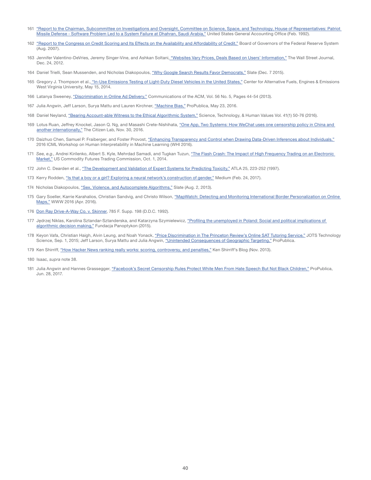- 161 ["Report to the Chairman, Subcommittee on Investigations and Oversight, Committee on Science, Space, and Technology, House of Representatives: Patriot](http://www.gao.gov/assets/220/215614.pdf)  [Missile Defense - Software Problem Led to a System Failure at Dhahran, Saudi Arabia,"](http://www.gao.gov/assets/220/215614.pdf) United States General Accounting Office (Feb. 1992).
- 162 ["Report to the Congress on Credit Scoring and Its Effects on the Availability and Affordability of Credit,"](https://www.federalreserve.gov/boarddocs/rptcongress/creditscore/creditscore.pdf) Board of Governors of the Federal Reserve System (Aug. 2007).
- 163 Jennifer Valentino-DeVries, Jeremy Singer-Vine, and Ashkan Soltani[, "Websites Vary Prices, Deals Based on Users' Information,"](https://www.wsj.com/articles/SB10001424127887323777204578189391813881534) The Wall Street Journal, Dec. 24, 2012.
- 164 Daniel Trielli, Sean Mussenden, and Nicholas Diakopoulos, ["Why Google Search Results Favor Democrats,"](http://www.slate.com/articles/technology/future_tense/2015/12/why_google_search_results_favor_democrats.html) Slate (Dec. 7 2015).
- 165 Gregory J. Thompson et al.[, "In-Use Emissions Testing of Light-Duty Diesel Vehicles in the United States,"](http://www.eenews.net/assets/2015/09/21/document_cw_02.pdf) Center for Alternative Fuels, Engines & Emissions West Virginia University, May 15, 2014.
- 166 Latanya Sweeney, ["Discrimination in Online Ad Delivery,"](https://arxiv.org/abs/1301.6822) Communications of the ACM, Vol. 56 No. 5, Pages 44-54 (2013).
- 167 Julia Angwin, Jeff Larson, Surya Mattu and Lauren Kirchner, ["Machine Bias,"](https://www.propublica.org/article/machine-bias-risk-assessments-in-criminal-sentencing.https://www.propublica.org/article/machine-bias-risk-assessments-in-criminal-sentencing) ProPublica, May 23, 2016.
- 168 Daniel Neyland, ["Bearing Account-able Witness to the Ethical Algorithmic System,"](http://journals.sagepub.com/doi/pdf/10.1177/0162243915598056) Science, Technology, & Human Values Vol. 41(1) 50-76 (2016).
- 169 Lotus Ruan, Jeffrey Knockel, Jason Q. Ng, and Masashi Crete-Nishihata, "One App, Two Systems: How WeChat uses one censorship policy in China and [another internationally,"](https://citizenlab.org/2016/11/wechat-china-censorship-one-app-two-systems/) The Citizen Lab, Nov. 30, 2016.
- 170 Daizhuo Chen, Samuel P. Fraiberger, and Foster Provost, ["Enhancing Transparency and Control when Drawing Data-Driven Inferences about Individuals,"](https://arxiv.org/pdf/1606.08063.pdf) 2016 ICML Workshop on Human Interpretability in Machine Learning (WHI 2016).
- 171 See, e.g., Andrei Kirilenko, Albert S. Kyle, Mehrdad Samadi, and Tugkan Tuzun, "The Flash Crash: The Impact of High Frequency Trading on an Electronic [Market,"](https://financialreg.nd.edu/assets/153218/2011_conf_andrei_kirilenko.pdf) US Commodity Futures Trading Commission, Oct. 1, 2014.
- 172 John C. Dearden et al., ["The Development and Validation of Expert Systems for Predicting Toxicity,"](http://staging-ecvam.jrc.it/publication/WorkshopReport24.pdf) ATLA 25, 223-252 (1997).
- 173 Kerry Rodden, ["Is that a boy or a girl? Exploring a neural network's construction of gender,"](https://medium.com/@kerryrodden/is-that-a-boy-or-a-girl-cb93abbae6da#.kryv9g4sb) Medium (Feb. 24, 2017).
- 174 Nicholas Diakopoulos, ["Sex, Violence, and Autocomplete Algorithms,"](http://www.slate.com/articles/technology/future_tense/2013/08/words_banned_from_bing_and_google_s_autocomplete_algorithms.html) Slate (Aug. 2, 2013).
- 175 Gary Soeller, Karrie Karahalios, Christian Sandvig, and Christo Wilson, "MapWatch: Detecting and Monitoring International Border Personalization on Online [Maps,"](http://personalization.ccs.neu.edu/papers/maps_www16.pdf) WWW 2016 (Apr. 2016).
- 176 [Don Ray Drive-A-Way Co. v. Skinner](http://law.justia.com/cases/federal/district-courts/FSupp/785/198/2144490), 785 F. Supp. 198 (D.D.C. 1992).
- 177 Jędrzej Niklas, Karolina Sztandar-Sztanderska, and Katarzyna Szymielewicz, "Profiling the unemployed in Poland: Social and political implications of [algorithmic decision making,"](https://panoptykon.org/sites/default/files/leadimage-biblioteka/panoptykon_profiling_report_final.pdf) Fundacja Panoptykon (2015).
- 178 Keyon Vafa, Christian Haigh, Alvin Leung, and Noah Yonack, ["Price Discrimination in The Princeton Review's Online SAT Tutoring Service,"](http://techscience.org/a/2015090102) JOTS Technology Science, Sep. 1, 2015; Jeff Larson, Surya Mattu and Julia Angwin, ["Unintended Consequences of Geographic Targeting,"](https://static.propublica.org/projects/princeton-review/princeton-review-methodology.pdf) ProPublica.
- 179 Ken Shirriff, ["How Hacker News ranking really works: scoring, controversy, and penalties,"](http://www.righto.com/2013/11/how-hacker-news-ranking-really-works.html) Ken Shirriff's Blog (Nov. 2013).
- 180 Isaac, *supra* note 38.
- 181 Julia Angwin and Hannes Grassegger, ["Facebook's Secret Censorship Rules Protect White Men From Hate Speech But Not Black Children,"](https://www.propublica.org/article/facebook-hate-speech-censorship-internal-documents-algorithms) ProPublica, Jun. 28, 2017.